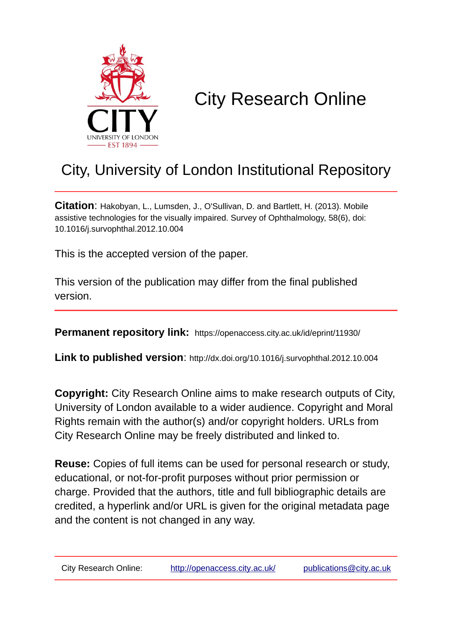

# City Research Online

# City, University of London Institutional Repository

**Citation**: Hakobyan, L., Lumsden, J., O'Sullivan, D. and Bartlett, H. (2013). Mobile assistive technologies for the visually impaired. Survey of Ophthalmology, 58(6), doi: 10.1016/j.survophthal.2012.10.004

This is the accepted version of the paper.

This version of the publication may differ from the final published version.

**Permanent repository link:** https://openaccess.city.ac.uk/id/eprint/11930/

**Link to published version**: http://dx.doi.org/10.1016/j.survophthal.2012.10.004

**Copyright:** City Research Online aims to make research outputs of City, University of London available to a wider audience. Copyright and Moral Rights remain with the author(s) and/or copyright holders. URLs from City Research Online may be freely distributed and linked to.

**Reuse:** Copies of full items can be used for personal research or study, educational, or not-for-profit purposes without prior permission or charge. Provided that the authors, title and full bibliographic details are credited, a hyperlink and/or URL is given for the original metadata page and the content is not changed in any way.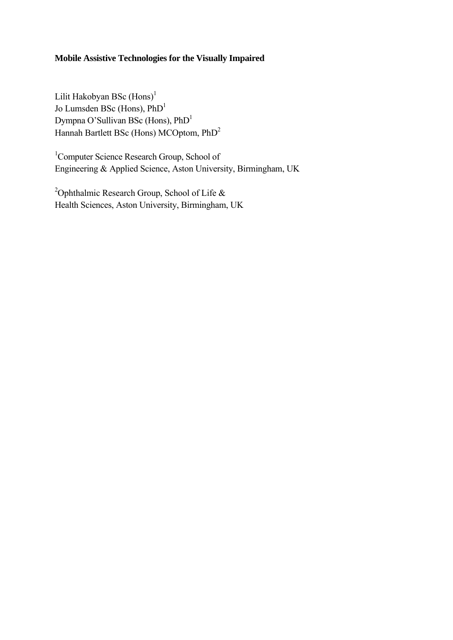## **Mobile Assistive Technologies for the Visually Impaired**

Lilit Hakobyan BSc  $(Hons)^1$ Jo Lumsden BSc (Hons), PhD<sup>1</sup> Dympna O'Sullivan BSc (Hons), PhD1 Hannah Bartlett BSc (Hons) MCOptom, PhD2

<sup>1</sup>Computer Science Research Group, School of Engineering & Applied Science, Aston University, Birmingham, UK

<sup>2</sup>Ophthalmic Research Group, School of Life  $\&$ Health Sciences, Aston University, Birmingham, UK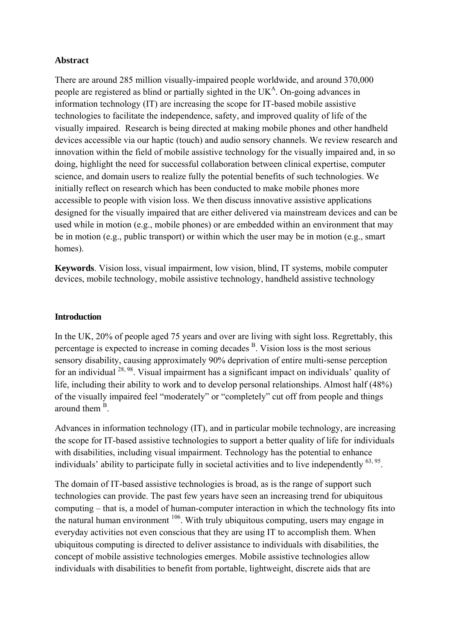#### **Abstract**

There are around 285 million visually-impaired people worldwide, and around 370,000 people are registered as blind or partially sighted in the  $UK<sup>A</sup>$ . On-going advances in information technology (IT) are increasing the scope for IT-based mobile assistive technologies to facilitate the independence, safety, and improved quality of life of the visually impaired. Research is being directed at making mobile phones and other handheld devices accessible via our haptic (touch) and audio sensory channels. We review research and innovation within the field of mobile assistive technology for the visually impaired and, in so doing, highlight the need for successful collaboration between clinical expertise, computer science, and domain users to realize fully the potential benefits of such technologies. We initially reflect on research which has been conducted to make mobile phones more accessible to people with vision loss. We then discuss innovative assistive applications designed for the visually impaired that are either delivered via mainstream devices and can be used while in motion (e.g., mobile phones) or are embedded within an environment that may be in motion (e.g., public transport) or within which the user may be in motion (e.g., smart homes).

**Keywords**. Vision loss, visual impairment, low vision, blind, IT systems, mobile computer devices, mobile technology, mobile assistive technology, handheld assistive technology

#### **Introduction**

In the UK, 20% of people aged 75 years and over are living with sight loss. Regrettably, this percentage is expected to increase in coming decades <sup>B</sup>. Vision loss is the most serious sensory disability, causing approximately 90% deprivation of entire multi-sense perception for an individual <sup>28, 98</sup>. Visual impairment has a significant impact on individuals' quality of life, including their ability to work and to develop personal relationships. Almost half (48%) of the visually impaired feel "moderately" or "completely" cut off from people and things around them <sup>B</sup>.

Advances in information technology (IT), and in particular mobile technology, are increasing the scope for IT-based assistive technologies to support a better quality of life for individuals with disabilities, including visual impairment. Technology has the potential to enhance individuals' ability to participate fully in societal activities and to live independently  $63, 95$ .

The domain of IT-based assistive technologies is broad, as is the range of support such technologies can provide. The past few years have seen an increasing trend for ubiquitous computing – that is, a model of human-computer interaction in which the technology fits into the natural human environment  $106$ . With truly ubiquitous computing, users may engage in everyday activities not even conscious that they are using IT to accomplish them. When ubiquitous computing is directed to deliver assistance to individuals with disabilities, the concept of mobile assistive technologies emerges. Mobile assistive technologies allow individuals with disabilities to benefit from portable, lightweight, discrete aids that are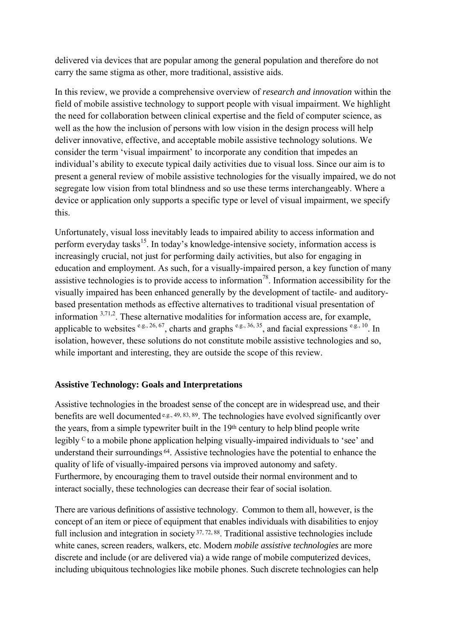delivered via devices that are popular among the general population and therefore do not carry the same stigma as other, more traditional, assistive aids.

In this review, we provide a comprehensive overview of *research and innovation* within the field of mobile assistive technology to support people with visual impairment. We highlight the need for collaboration between clinical expertise and the field of computer science, as well as the how the inclusion of persons with low vision in the design process will help deliver innovative, effective, and acceptable mobile assistive technology solutions. We consider the term 'visual impairment' to incorporate any condition that impedes an individual's ability to execute typical daily activities due to visual loss. Since our aim is to present a general review of mobile assistive technologies for the visually impaired, we do not segregate low vision from total blindness and so use these terms interchangeably. Where a device or application only supports a specific type or level of visual impairment, we specify this.

Unfortunately, visual loss inevitably leads to impaired ability to access information and perform everyday tasks<sup>15</sup>. In today's knowledge-intensive society, information access is increasingly crucial, not just for performing daily activities, but also for engaging in education and employment. As such, for a visually-impaired person, a key function of many assistive technologies is to provide access to information<sup>78</sup>. Information accessibility for the visually impaired has been enhanced generally by the development of tactile- and auditorybased presentation methods as effective alternatives to traditional visual presentation of information  $3,71,2$ . These alternative modalities for information access are, for example, applicable to websites <sup>e.g., 26, 67</sup>, charts and graphs <sup>e.g., 36, 35</sup>, and facial expressions <sup>e.g., 10</sup>. In isolation, however, these solutions do not constitute mobile assistive technologies and so, while important and interesting, they are outside the scope of this review.

#### **Assistive Technology: Goals and Interpretations**

Assistive technologies in the broadest sense of the concept are in widespread use, and their benefits are well documented e.g., 49, 83, 89. The technologies have evolved significantly over the years, from a simple typewriter built in the 19th century to help blind people write legibly C to a mobile phone application helping visually-impaired individuals to 'see' and understand their surroundings 64. Assistive technologies have the potential to enhance the quality of life of visually-impaired persons via improved autonomy and safety. Furthermore, by encouraging them to travel outside their normal environment and to interact socially, these technologies can decrease their fear of social isolation.

There are various definitions of assistive technology. Common to them all, however, is the concept of an item or piece of equipment that enables individuals with disabilities to enjoy full inclusion and integration in society 37, 72, 88. Traditional assistive technologies include white canes, screen readers, walkers, etc. Modern *mobile assistive technologies* are more discrete and include (or are delivered via) a wide range of mobile computerized devices, including ubiquitous technologies like mobile phones. Such discrete technologies can help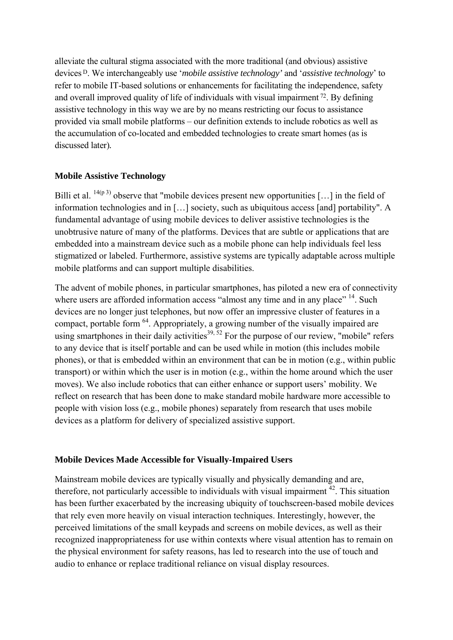alleviate the cultural stigma associated with the more traditional (and obvious) assistive devices D. We interchangeably use '*mobile assistive technology'* and '*assistive technology*' to refer to mobile IT-based solutions or enhancements for facilitating the independence, safety and overall improved quality of life of individuals with visual impairment 72. By defining assistive technology in this way we are by no means restricting our focus to assistance provided via small mobile platforms – our definition extends to include robotics as well as the accumulation of co-located and embedded technologies to create smart homes (as is discussed later)*.* 

#### **Mobile Assistive Technology**

Billi et al.  $^{14(p\ 3)}$  observe that "mobile devices present new opportunities [...] in the field of information technologies and in […] society, such as ubiquitous access [and] portability". A fundamental advantage of using mobile devices to deliver assistive technologies is the unobtrusive nature of many of the platforms. Devices that are subtle or applications that are embedded into a mainstream device such as a mobile phone can help individuals feel less stigmatized or labeled. Furthermore, assistive systems are typically adaptable across multiple mobile platforms and can support multiple disabilities.

The advent of mobile phones, in particular smartphones, has piloted a new era of connectivity where users are afforded information access "almost any time and in any place" <sup>14</sup>. Such devices are no longer just telephones, but now offer an impressive cluster of features in a compact, portable form 64. Appropriately, a growing number of the visually impaired are using smartphones in their daily activities<sup>39, 52</sup> For the purpose of our review, "mobile" refers to any device that is itself portable and can be used while in motion (this includes mobile phones), or that is embedded within an environment that can be in motion (e.g., within public transport) or within which the user is in motion (e.g., within the home around which the user moves). We also include robotics that can either enhance or support users' mobility. We reflect on research that has been done to make standard mobile hardware more accessible to people with vision loss (e.g., mobile phones) separately from research that uses mobile devices as a platform for delivery of specialized assistive support.

#### **Mobile Devices Made Accessible for Visually-Impaired Users**

Mainstream mobile devices are typically visually and physically demanding and are, therefore, not particularly accessible to individuals with visual impairment  $42$ . This situation has been further exacerbated by the increasing ubiquity of touchscreen-based mobile devices that rely even more heavily on visual interaction techniques. Interestingly, however, the perceived limitations of the small keypads and screens on mobile devices, as well as their recognized inappropriateness for use within contexts where visual attention has to remain on the physical environment for safety reasons, has led to research into the use of touch and audio to enhance or replace traditional reliance on visual display resources.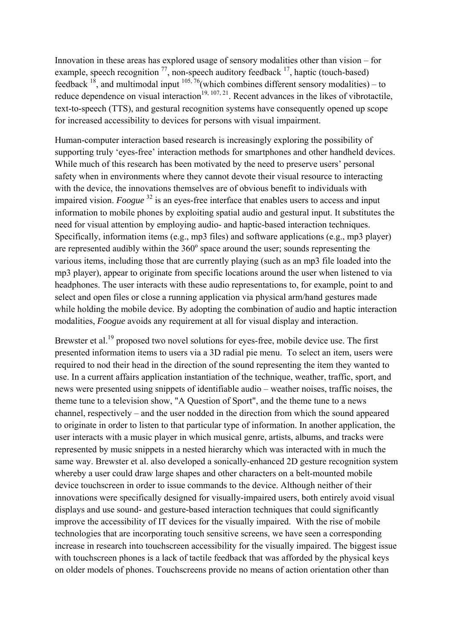Innovation in these areas has explored usage of sensory modalities other than vision – for example, speech recognition  $^{77}$ , non-speech auditory feedback  $^{17}$ , haptic (touch-based) feedback  $18$ , and multimodal input  $105, 76$  (which combines different sensory modalities) – to reduce dependence on visual interaction<sup>19, 107, 21</sup>. Recent advances in the likes of vibrotactile, text-to-speech (TTS), and gestural recognition systems have consequently opened up scope for increased accessibility to devices for persons with visual impairment.

Human-computer interaction based research is increasingly exploring the possibility of supporting truly 'eyes-free' interaction methods for smartphones and other handheld devices. While much of this research has been motivated by the need to preserve users' personal safety when in environments where they cannot devote their visual resource to interacting with the device, the innovations themselves are of obvious benefit to individuals with impaired vision. *Foogue* 32 is an eyes-free interface that enables users to access and input information to mobile phones by exploiting spatial audio and gestural input. It substitutes the need for visual attention by employing audio- and haptic-based interaction techniques. Specifically, information items (e.g., mp3 files) and software applications (e.g., mp3 player) are represented audibly within the  $360^\circ$  space around the user; sounds representing the various items, including those that are currently playing (such as an mp3 file loaded into the mp3 player), appear to originate from specific locations around the user when listened to via headphones. The user interacts with these audio representations to, for example, point to and select and open files or close a running application via physical arm/hand gestures made while holding the mobile device. By adopting the combination of audio and haptic interaction modalities, *Foogue* avoids any requirement at all for visual display and interaction.

Brewster et al.<sup>19</sup> proposed two novel solutions for eyes-free, mobile device use. The first presented information items to users via a 3D radial pie menu. To select an item, users were required to nod their head in the direction of the sound representing the item they wanted to use. In a current affairs application instantiation of the technique, weather, traffic, sport, and news were presented using snippets of identifiable audio – weather noises, traffic noises, the theme tune to a television show, "A Question of Sport", and the theme tune to a news channel, respectively – and the user nodded in the direction from which the sound appeared to originate in order to listen to that particular type of information. In another application, the user interacts with a music player in which musical genre, artists, albums, and tracks were represented by music snippets in a nested hierarchy which was interacted with in much the same way. Brewster et al. also developed a sonically-enhanced 2D gesture recognition system whereby a user could draw large shapes and other characters on a belt-mounted mobile device touchscreen in order to issue commands to the device. Although neither of their innovations were specifically designed for visually-impaired users, both entirely avoid visual displays and use sound- and gesture-based interaction techniques that could significantly improve the accessibility of IT devices for the visually impaired. With the rise of mobile technologies that are incorporating touch sensitive screens, we have seen a corresponding increase in research into touchscreen accessibility for the visually impaired. The biggest issue with touchscreen phones is a lack of tactile feedback that was afforded by the physical keys on older models of phones. Touchscreens provide no means of action orientation other than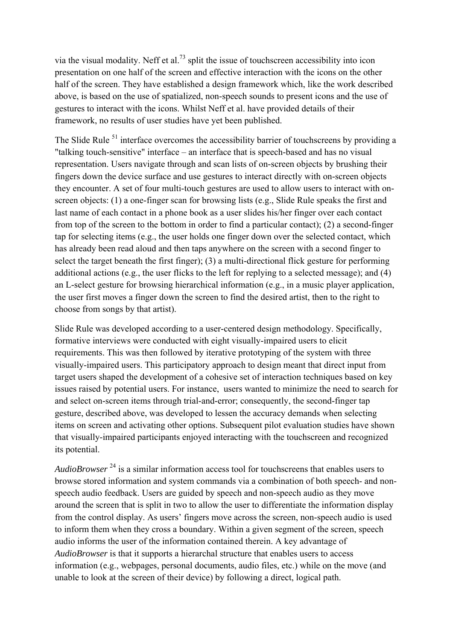via the visual modality. Neff et al.<sup>73</sup> split the issue of touchscreen accessibility into icon presentation on one half of the screen and effective interaction with the icons on the other half of the screen. They have established a design framework which, like the work described above, is based on the use of spatialized, non-speech sounds to present icons and the use of gestures to interact with the icons. Whilst Neff et al. have provided details of their framework, no results of user studies have yet been published.

The Slide Rule <sup>51</sup> interface overcomes the accessibility barrier of touchscreens by providing a "talking touch-sensitive" interface – an interface that is speech-based and has no visual representation. Users navigate through and scan lists of on-screen objects by brushing their fingers down the device surface and use gestures to interact directly with on-screen objects they encounter. A set of four multi-touch gestures are used to allow users to interact with onscreen objects: (1) a one-finger scan for browsing lists (e.g., Slide Rule speaks the first and last name of each contact in a phone book as a user slides his/her finger over each contact from top of the screen to the bottom in order to find a particular contact); (2) a second-finger tap for selecting items (e.g., the user holds one finger down over the selected contact, which has already been read aloud and then taps anywhere on the screen with a second finger to select the target beneath the first finger); (3) a multi-directional flick gesture for performing additional actions (e.g., the user flicks to the left for replying to a selected message); and (4) an L-select gesture for browsing hierarchical information (e.g., in a music player application, the user first moves a finger down the screen to find the desired artist, then to the right to choose from songs by that artist).

Slide Rule was developed according to a user-centered design methodology. Specifically, formative interviews were conducted with eight visually-impaired users to elicit requirements. This was then followed by iterative prototyping of the system with three visually-impaired users. This participatory approach to design meant that direct input from target users shaped the development of a cohesive set of interaction techniques based on key issues raised by potential users. For instance, users wanted to minimize the need to search for and select on-screen items through trial-and-error; consequently, the second-finger tap gesture, described above, was developed to lessen the accuracy demands when selecting items on screen and activating other options. Subsequent pilot evaluation studies have shown that visually-impaired participants enjoyed interacting with the touchscreen and recognized its potential.

*AudioBrowser*<sup>24</sup> is a similar information access tool for touchscreens that enables users to browse stored information and system commands via a combination of both speech- and nonspeech audio feedback. Users are guided by speech and non-speech audio as they move around the screen that is split in two to allow the user to differentiate the information display from the control display. As users' fingers move across the screen, non-speech audio is used to inform them when they cross a boundary. Within a given segment of the screen, speech audio informs the user of the information contained therein. A key advantage of *AudioBrowser* is that it supports a hierarchal structure that enables users to access information (e.g., webpages, personal documents, audio files, etc.) while on the move (and unable to look at the screen of their device) by following a direct, logical path.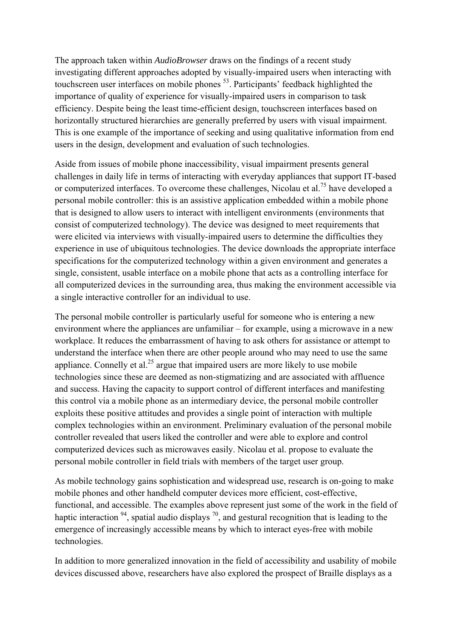The approach taken within *AudioBrowser* draws on the findings of a recent study investigating different approaches adopted by visually-impaired users when interacting with touchscreen user interfaces on mobile phones <sup>53</sup>. Participants' feedback highlighted the importance of quality of experience for visually-impaired users in comparison to task efficiency. Despite being the least time-efficient design, touchscreen interfaces based on horizontally structured hierarchies are generally preferred by users with visual impairment. This is one example of the importance of seeking and using qualitative information from end users in the design, development and evaluation of such technologies.

Aside from issues of mobile phone inaccessibility, visual impairment presents general challenges in daily life in terms of interacting with everyday appliances that support IT-based or computerized interfaces. To overcome these challenges, Nicolau et al.<sup>75</sup> have developed a personal mobile controller: this is an assistive application embedded within a mobile phone that is designed to allow users to interact with intelligent environments (environments that consist of computerized technology). The device was designed to meet requirements that were elicited via interviews with visually-impaired users to determine the difficulties they experience in use of ubiquitous technologies. The device downloads the appropriate interface specifications for the computerized technology within a given environment and generates a single, consistent, usable interface on a mobile phone that acts as a controlling interface for all computerized devices in the surrounding area, thus making the environment accessible via a single interactive controller for an individual to use.

The personal mobile controller is particularly useful for someone who is entering a new environment where the appliances are unfamiliar – for example, using a microwave in a new workplace. It reduces the embarrassment of having to ask others for assistance or attempt to understand the interface when there are other people around who may need to use the same appliance. Connelly et al.<sup>25</sup> argue that impaired users are more likely to use mobile technologies since these are deemed as non-stigmatizing and are associated with affluence and success. Having the capacity to support control of different interfaces and manifesting this control via a mobile phone as an intermediary device, the personal mobile controller exploits these positive attitudes and provides a single point of interaction with multiple complex technologies within an environment. Preliminary evaluation of the personal mobile controller revealed that users liked the controller and were able to explore and control computerized devices such as microwaves easily. Nicolau et al. propose to evaluate the personal mobile controller in field trials with members of the target user group.

As mobile technology gains sophistication and widespread use, research is on-going to make mobile phones and other handheld computer devices more efficient, cost-effective, functional, and accessible. The examples above represent just some of the work in the field of haptic interaction  $94$ , spatial audio displays  $70$ , and gestural recognition that is leading to the emergence of increasingly accessible means by which to interact eyes-free with mobile technologies.

In addition to more generalized innovation in the field of accessibility and usability of mobile devices discussed above, researchers have also explored the prospect of Braille displays as a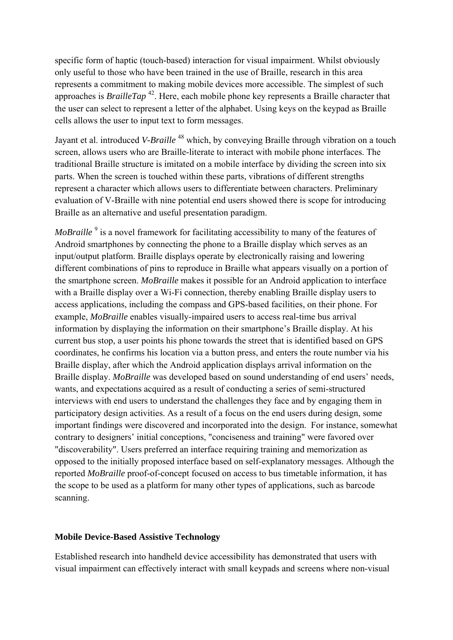specific form of haptic (touch-based) interaction for visual impairment. Whilst obviously only useful to those who have been trained in the use of Braille, research in this area represents a commitment to making mobile devices more accessible. The simplest of such approaches is *BrailleTap*<sup>42</sup>. Here, each mobile phone key represents a Braille character that the user can select to represent a letter of the alphabet. Using keys on the keypad as Braille cells allows the user to input text to form messages.

Jayant et al. introduced *V-Braille* 48 which, by conveying Braille through vibration on a touch screen, allows users who are Braille-literate to interact with mobile phone interfaces. The traditional Braille structure is imitated on a mobile interface by dividing the screen into six parts. When the screen is touched within these parts, vibrations of different strengths represent a character which allows users to differentiate between characters. Preliminary evaluation of V-Braille with nine potential end users showed there is scope for introducing Braille as an alternative and useful presentation paradigm.

*MoBraille* <sup>9</sup> is a novel framework for facilitating accessibility to many of the features of Android smartphones by connecting the phone to a Braille display which serves as an input/output platform. Braille displays operate by electronically raising and lowering different combinations of pins to reproduce in Braille what appears visually on a portion of the smartphone screen. *MoBraille* makes it possible for an Android application to interface with a Braille display over a Wi-Fi connection, thereby enabling Braille display users to access applications, including the compass and GPS-based facilities, on their phone. For example, *MoBraille* enables visually-impaired users to access real-time bus arrival information by displaying the information on their smartphone's Braille display. At his current bus stop, a user points his phone towards the street that is identified based on GPS coordinates, he confirms his location via a button press, and enters the route number via his Braille display, after which the Android application displays arrival information on the Braille display. *MoBraille* was developed based on sound understanding of end users' needs, wants, and expectations acquired as a result of conducting a series of semi-structured interviews with end users to understand the challenges they face and by engaging them in participatory design activities. As a result of a focus on the end users during design, some important findings were discovered and incorporated into the design. For instance, somewhat contrary to designers' initial conceptions, "conciseness and training" were favored over "discoverability". Users preferred an interface requiring training and memorization as opposed to the initially proposed interface based on self-explanatory messages. Although the reported *MoBraille* proof-of-concept focused on access to bus timetable information, it has the scope to be used as a platform for many other types of applications, such as barcode scanning.

#### **Mobile Device-Based Assistive Technology**

Established research into handheld device accessibility has demonstrated that users with visual impairment can effectively interact with small keypads and screens where non-visual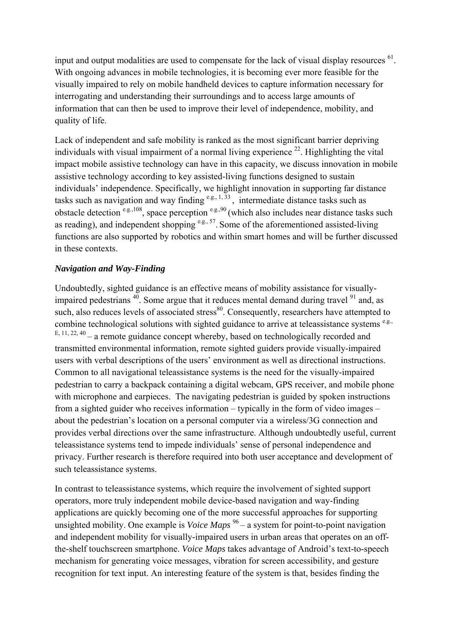input and output modalities are used to compensate for the lack of visual display resources <sup>61</sup>. With ongoing advances in mobile technologies, it is becoming ever more feasible for the visually impaired to rely on mobile handheld devices to capture information necessary for interrogating and understanding their surroundings and to access large amounts of information that can then be used to improve their level of independence, mobility, and quality of life.

Lack of independent and safe mobility is ranked as the most significant barrier depriving individuals with visual impairment of a normal living experience  $^{22}$ . Highlighting the vital impact mobile assistive technology can have in this capacity, we discuss innovation in mobile assistive technology according to key assisted-living functions designed to sustain individuals' independence. Specifically, we highlight innovation in supporting far distance tasks such as navigation and way finding  $e.g., 1, 33$ , intermediate distance tasks such as obstacle detection  $e.g.,108$ , space perception  $e.g.,90$  (which also includes near distance tasks such as reading), and independent shopping  $e.g., 57$ . Some of the aforementioned assisted-living functions are also supported by robotics and within smart homes and will be further discussed in these contexts.

#### *Navigation and Way-Finding*

Undoubtedly, sighted guidance is an effective means of mobility assistance for visuallyimpaired pedestrians  $40$ . Some argue that it reduces mental demand during travel  $91$  and, as such, also reduces levels of associated stress<sup>80</sup>. Consequently, researchers have attempted to combine technological solutions with sighted guidance to arrive at teleassistance systems  $e.g.,$  $E$ , 11, 22, 40 – a remote guidance concept whereby, based on technologically recorded and transmitted environmental information, remote sighted guiders provide visually-impaired users with verbal descriptions of the users' environment as well as directional instructions. Common to all navigational teleassistance systems is the need for the visually-impaired pedestrian to carry a backpack containing a digital webcam, GPS receiver, and mobile phone with microphone and earpieces. The navigating pedestrian is guided by spoken instructions from a sighted guider who receives information – typically in the form of video images – about the pedestrian's location on a personal computer via a wireless/3G connection and provides verbal directions over the same infrastructure. Although undoubtedly useful, current teleassistance systems tend to impede individuals' sense of personal independence and privacy. Further research is therefore required into both user acceptance and development of such teleassistance systems.

In contrast to teleassistance systems, which require the involvement of sighted support operators, more truly independent mobile device-based navigation and way-finding applications are quickly becoming one of the more successful approaches for supporting unsighted mobility. One example is *Voice Maps* <sup>96</sup> – a system for point-to-point navigation and independent mobility for visually-impaired users in urban areas that operates on an offthe-shelf touchscreen smartphone. *Voice Maps* takes advantage of Android's text-to-speech mechanism for generating voice messages, vibration for screen accessibility, and gesture recognition for text input. An interesting feature of the system is that, besides finding the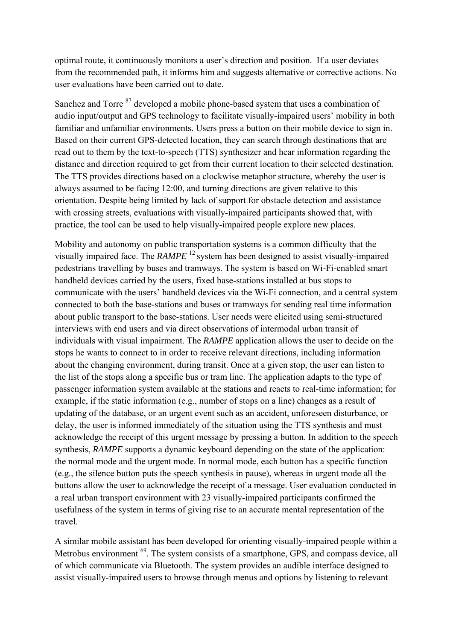optimal route, it continuously monitors a user's direction and position. If a user deviates from the recommended path, it informs him and suggests alternative or corrective actions. No user evaluations have been carried out to date.

Sanchez and Torre <sup>87</sup> developed a mobile phone-based system that uses a combination of audio input/output and GPS technology to facilitate visually-impaired users' mobility in both familiar and unfamiliar environments. Users press a button on their mobile device to sign in. Based on their current GPS-detected location, they can search through destinations that are read out to them by the text-to-speech (TTS) synthesizer and hear information regarding the distance and direction required to get from their current location to their selected destination. The TTS provides directions based on a clockwise metaphor structure, whereby the user is always assumed to be facing 12:00, and turning directions are given relative to this orientation. Despite being limited by lack of support for obstacle detection and assistance with crossing streets, evaluations with visually-impaired participants showed that, with practice, the tool can be used to help visually-impaired people explore new places.

Mobility and autonomy on public transportation systems is a common difficulty that the visually impaired face. The *RAMPE* 12 system has been designed to assist visually-impaired pedestrians travelling by buses and tramways. The system is based on Wi-Fi-enabled smart handheld devices carried by the users, fixed base-stations installed at bus stops to communicate with the users' handheld devices via the Wi-Fi connection, and a central system connected to both the base-stations and buses or tramways for sending real time information about public transport to the base-stations. User needs were elicited using semi-structured interviews with end users and via direct observations of intermodal urban transit of individuals with visual impairment. The *RAMPE* application allows the user to decide on the stops he wants to connect to in order to receive relevant directions, including information about the changing environment, during transit. Once at a given stop, the user can listen to the list of the stops along a specific bus or tram line. The application adapts to the type of passenger information system available at the stations and reacts to real-time information; for example, if the static information (e.g., number of stops on a line) changes as a result of updating of the database, or an urgent event such as an accident, unforeseen disturbance, or delay, the user is informed immediately of the situation using the TTS synthesis and must acknowledge the receipt of this urgent message by pressing a button. In addition to the speech synthesis, *RAMPE* supports a dynamic keyboard depending on the state of the application: the normal mode and the urgent mode. In normal mode, each button has a specific function (e.g., the silence button puts the speech synthesis in pause), whereas in urgent mode all the buttons allow the user to acknowledge the receipt of a message. User evaluation conducted in a real urban transport environment with 23 visually-impaired participants confirmed the usefulness of the system in terms of giving rise to an accurate mental representation of the travel.

A similar mobile assistant has been developed for orienting visually-impaired people within a Metrobus environment <sup>69</sup>. The system consists of a smartphone, GPS, and compass device, all of which communicate via Bluetooth. The system provides an audible interface designed to assist visually-impaired users to browse through menus and options by listening to relevant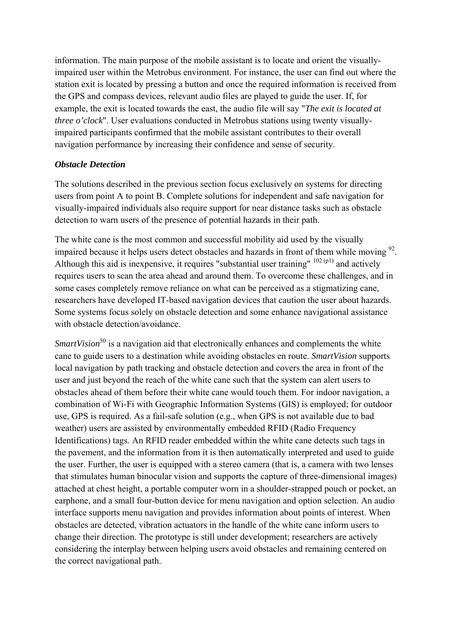information. The main purpose of the mobile assistant is to locate and orient the visuallyimpaired user within the Metrobus environment. For instance, the user can find out where the station exit is located by pressing a button and once the required information is received from the GPS and compass devices, relevant audio files are played to guide the user. If, for example, the exit is located towards the east, the audio file will say "*The exit is located at three o'clock*". User evaluations conducted in Metrobus stations using twenty visuallyimpaired participants confirmed that the mobile assistant contributes to their overall navigation performance by increasing their confidence and sense of security.

#### *Obstacle Detection*

The solutions described in the previous section focus exclusively on systems for directing users from point A to point B. Complete solutions for independent and safe navigation for visually-impaired individuals also require support for near distance tasks such as obstacle detection to warn users of the presence of potential hazards in their path.

The white cane is the most common and successful mobility aid used by the visually impaired because it helps users detect obstacles and hazards in front of them while moving <sup>92</sup>. Although this aid is inexpensive, it requires "substantial user training"  $102 (p1)$  and actively requires users to scan the area ahead and around them. To overcome these challenges, and in some cases completely remove reliance on what can be perceived as a stigmatizing cane, researchers have developed IT-based navigation devices that caution the user about hazards. Some systems focus solely on obstacle detection and some enhance navigational assistance with obstacle detection/avoidance.

*SmartVision*<sup>50</sup> is a navigation aid that electronically enhances and complements the white cane to guide users to a destination while avoiding obstacles en route. *SmartVision* supports local navigation by path tracking and obstacle detection and covers the area in front of the user and just beyond the reach of the white cane such that the system can alert users to obstacles ahead of them before their white cane would touch them. For indoor navigation, a combination of Wi-Fi with Geographic Information Systems (GIS) is employed; for outdoor use, GPS is required. As a fail-safe solution (e.g., when GPS is not available due to bad weather) users are assisted by environmentally embedded RFID (Radio Frequency Identifications) tags. An RFID reader embedded within the white cane detects such tags in the pavement, and the information from it is then automatically interpreted and used to guide the user. Further, the user is equipped with a stereo camera (that is, a camera with two lenses that stimulates human binocular vision and supports the capture of three-dimensional images) attached at chest height, a portable computer worn in a shoulder-strapped pouch or pocket, an earphone, and a small four-button device for menu navigation and option selection. An audio interface supports menu navigation and provides information about points of interest. When obstacles are detected, vibration actuators in the handle of the white cane inform users to change their direction. The prototype is still under development; researchers are actively considering the interplay between helping users avoid obstacles and remaining centered on the correct navigational path.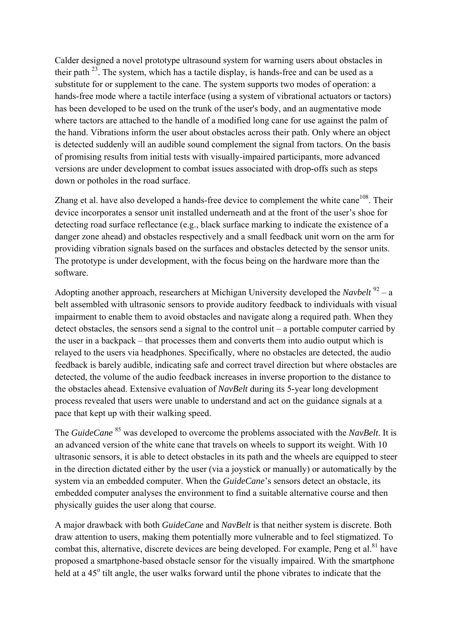Calder designed a novel prototype ultrasound system for warning users about obstacles in their path  $^{23}$ . The system, which has a tactile display, is hands-free and can be used as a substitute for or supplement to the cane. The system supports two modes of operation: a hands-free mode where a tactile interface (using a system of vibrational actuators or tactors) has been developed to be used on the trunk of the user's body, and an augmentative mode where tactors are attached to the handle of a modified long cane for use against the palm of the hand. Vibrations inform the user about obstacles across their path. Only where an object is detected suddenly will an audible sound complement the signal from tactors. On the basis of promising results from initial tests with visually-impaired participants, more advanced versions are under development to combat issues associated with drop-offs such as steps down or potholes in the road surface.

Zhang et al. have also developed a hands-free device to complement the white cane<sup>108</sup>. Their device incorporates a sensor unit installed underneath and at the front of the user's shoe for detecting road surface reflectance (e.g., black surface marking to indicate the existence of a danger zone ahead) and obstacles respectively and a small feedback unit worn on the arm for providing vibration signals based on the surfaces and obstacles detected by the sensor units. The prototype is under development, with the focus being on the hardware more than the software.

Adopting another approach, researchers at Michigan University developed the *Navbelt*  $92 - a$ belt assembled with ultrasonic sensors to provide auditory feedback to individuals with visual impairment to enable them to avoid obstacles and navigate along a required path. When they detect obstacles, the sensors send a signal to the control unit – a portable computer carried by the user in a backpack – that processes them and converts them into audio output which is relayed to the users via headphones. Specifically, where no obstacles are detected, the audio feedback is barely audible, indicating safe and correct travel direction but where obstacles are detected, the volume of the audio feedback increases in inverse proportion to the distance to the obstacles ahead. Extensive evaluation of *NavBelt* during its 5-year long development process revealed that users were unable to understand and act on the guidance signals at a pace that kept up with their walking speed.

The *GuideCane* <sup>85</sup> was developed to overcome the problems associated with the *NavBelt*. It is an advanced version of the white cane that travels on wheels to support its weight. With 10 ultrasonic sensors, it is able to detect obstacles in its path and the wheels are equipped to steer in the direction dictated either by the user (via a joystick or manually) or automatically by the system via an embedded computer. When the *GuideCane*'s sensors detect an obstacle, its embedded computer analyses the environment to find a suitable alternative course and then physically guides the user along that course.

A major drawback with both *GuideCane* and *NavBelt* is that neither system is discrete. Both draw attention to users, making them potentially more vulnerable and to feel stigmatized. To combat this, alternative, discrete devices are being developed. For example, Peng et al.<sup>81</sup> have proposed a smartphone-based obstacle sensor for the visually impaired. With the smartphone held at a 45<sup>°</sup> tilt angle, the user walks forward until the phone vibrates to indicate that the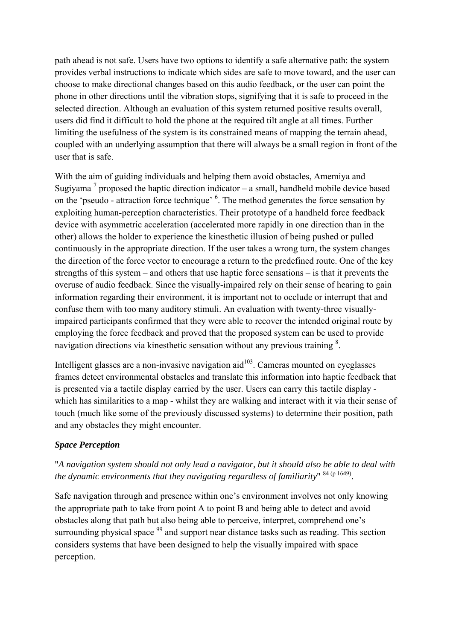path ahead is not safe. Users have two options to identify a safe alternative path: the system provides verbal instructions to indicate which sides are safe to move toward, and the user can choose to make directional changes based on this audio feedback, or the user can point the phone in other directions until the vibration stops, signifying that it is safe to proceed in the selected direction. Although an evaluation of this system returned positive results overall, users did find it difficult to hold the phone at the required tilt angle at all times. Further limiting the usefulness of the system is its constrained means of mapping the terrain ahead, coupled with an underlying assumption that there will always be a small region in front of the user that is safe.

With the aim of guiding individuals and helping them avoid obstacles, Amemiya and Sugiyama<sup>7</sup> proposed the haptic direction indicator – a small, handheld mobile device based on the 'pseudo - attraction force technique' <sup>6</sup>. The method generates the force sensation by exploiting human-perception characteristics. Their prototype of a handheld force feedback device with asymmetric acceleration (accelerated more rapidly in one direction than in the other) allows the holder to experience the kinesthetic illusion of being pushed or pulled continuously in the appropriate direction. If the user takes a wrong turn, the system changes the direction of the force vector to encourage a return to the predefined route. One of the key strengths of this system – and others that use haptic force sensations – is that it prevents the overuse of audio feedback. Since the visually-impaired rely on their sense of hearing to gain information regarding their environment, it is important not to occlude or interrupt that and confuse them with too many auditory stimuli. An evaluation with twenty-three visuallyimpaired participants confirmed that they were able to recover the intended original route by employing the force feedback and proved that the proposed system can be used to provide navigation directions via kinesthetic sensation without any previous training <sup>8</sup>.

Intelligent glasses are a non-invasive navigation aid<sup>103</sup>. Cameras mounted on eyeglasses frames detect environmental obstacles and translate this information into haptic feedback that is presented via a tactile display carried by the user. Users can carry this tactile display which has similarities to a map - whilst they are walking and interact with it via their sense of touch (much like some of the previously discussed systems) to determine their position, path and any obstacles they might encounter.

#### *Space Perception*

# "*A navigation system should not only lead a navigator, but it should also be able to deal with the dynamic environments that they navigating regardless of familiarity*<sup>" 84 (p 1649)</sup>.

Safe navigation through and presence within one's environment involves not only knowing the appropriate path to take from point A to point B and being able to detect and avoid obstacles along that path but also being able to perceive, interpret, comprehend one's surrounding physical space  $99$  and support near distance tasks such as reading. This section considers systems that have been designed to help the visually impaired with space perception.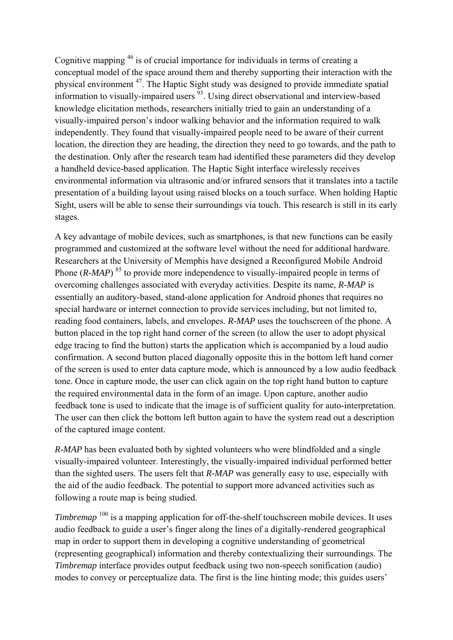Cognitive mapping 46 is of crucial importance for individuals in terms of creating a conceptual model of the space around them and thereby supporting their interaction with the physical environment 47. The Haptic Sight study was designed to provide immediate spatial information to visually-impaired users  $93$ . Using direct observational and interview-based knowledge elicitation methods, researchers initially tried to gain an understanding of a visually-impaired person's indoor walking behavior and the information required to walk independently. They found that visually-impaired people need to be aware of their current location, the direction they are heading, the direction they need to go towards, and the path to the destination. Only after the research team had identified these parameters did they develop a handheld device-based application. The Haptic Sight interface wirelessly receives environmental information via ultrasonic and/or infrared sensors that it translates into a tactile presentation of a building layout using raised blocks on a touch surface. When holding Haptic Sight, users will be able to sense their surroundings via touch. This research is still in its early stages.

A key advantage of mobile devices, such as smartphones, is that new functions can be easily programmed and customized at the software level without the need for additional hardware. Researchers at the University of Memphis have designed a Reconfigured Mobile Android Phone (*R-MAP*)<sup>85</sup> to provide more independence to visually-impaired people in terms of overcoming challenges associated with everyday activities. Despite its name, *R-MAP* is essentially an auditory-based, stand-alone application for Android phones that requires no special hardware or internet connection to provide services including, but not limited to, reading food containers, labels, and envelopes. *R-MAP* uses the touchscreen of the phone. A button placed in the top right hand corner of the screen (to allow the user to adopt physical edge tracing to find the button) starts the application which is accompanied by a loud audio confirmation. A second button placed diagonally opposite this in the bottom left hand corner of the screen is used to enter data capture mode, which is announced by a low audio feedback tone. Once in capture mode, the user can click again on the top right hand button to capture the required environmental data in the form of an image. Upon capture, another audio feedback tone is used to indicate that the image is of sufficient quality for auto-interpretation. The user can then click the bottom left button again to have the system read out a description of the captured image content.

*R-MAP* has been evaluated both by sighted volunteers who were blindfolded and a single visually-impaired volunteer. Interestingly, the visually-impaired individual performed better than the sighted users. The users felt that *R-MAP* was generally easy to use, especially with the aid of the audio feedback. The potential to support more advanced activities such as following a route map is being studied.

*Timbremap*<sup>100</sup> is a mapping application for off-the-shelf touchscreen mobile devices. It uses audio feedback to guide a user's finger along the lines of a digitally-rendered geographical map in order to support them in developing a cognitive understanding of geometrical (representing geographical) information and thereby contextualizing their surroundings. The *Timbremap* interface provides output feedback using two non-speech sonification (audio) modes to convey or perceptualize data. The first is the line hinting mode; this guides users'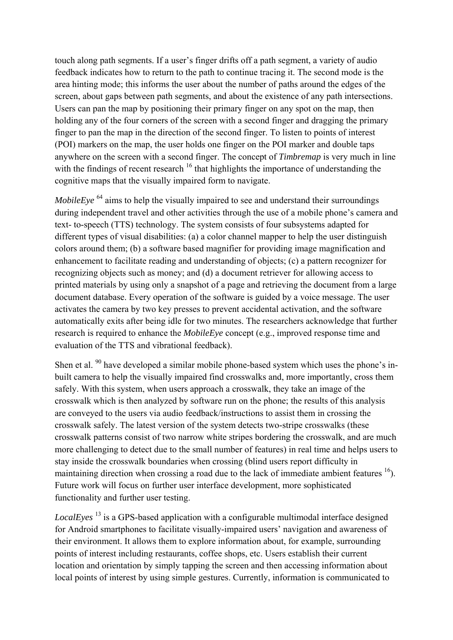touch along path segments. If a user's finger drifts off a path segment, a variety of audio feedback indicates how to return to the path to continue tracing it. The second mode is the area hinting mode; this informs the user about the number of paths around the edges of the screen, about gaps between path segments, and about the existence of any path intersections. Users can pan the map by positioning their primary finger on any spot on the map, then holding any of the four corners of the screen with a second finger and dragging the primary finger to pan the map in the direction of the second finger. To listen to points of interest (POI) markers on the map, the user holds one finger on the POI marker and double taps anywhere on the screen with a second finger. The concept of *Timbremap* is very much in line with the findings of recent research  $16$  that highlights the importance of understanding the cognitive maps that the visually impaired form to navigate.

*MobileEye*<sup>64</sup> aims to help the visually impaired to see and understand their surroundings during independent travel and other activities through the use of a mobile phone's camera and text- to-speech (TTS) technology. The system consists of four subsystems adapted for different types of visual disabilities: (a) a color channel mapper to help the user distinguish colors around them; (b) a software based magnifier for providing image magnification and enhancement to facilitate reading and understanding of objects; (c) a pattern recognizer for recognizing objects such as money; and (d) a document retriever for allowing access to printed materials by using only a snapshot of a page and retrieving the document from a large document database. Every operation of the software is guided by a voice message. The user activates the camera by two key presses to prevent accidental activation, and the software automatically exits after being idle for two minutes. The researchers acknowledge that further research is required to enhance the *MobileEye* concept (e.g., improved response time and evaluation of the TTS and vibrational feedback).

Shen et al. <sup>90</sup> have developed a similar mobile phone-based system which uses the phone's inbuilt camera to help the visually impaired find crosswalks and, more importantly, cross them safely. With this system, when users approach a crosswalk, they take an image of the crosswalk which is then analyzed by software run on the phone; the results of this analysis are conveyed to the users via audio feedback/instructions to assist them in crossing the crosswalk safely. The latest version of the system detects two-stripe crosswalks (these crosswalk patterns consist of two narrow white stripes bordering the crosswalk, and are much more challenging to detect due to the small number of features) in real time and helps users to stay inside the crosswalk boundaries when crossing (blind users report difficulty in maintaining direction when crossing a road due to the lack of immediate ambient features  $^{16}$ ). Future work will focus on further user interface development, more sophisticated functionality and further user testing.

*LocalEyes* 13 is a GPS-based application with a configurable multimodal interface designed for Android smartphones to facilitate visually-impaired users' navigation and awareness of their environment. It allows them to explore information about, for example, surrounding points of interest including restaurants, coffee shops, etc. Users establish their current location and orientation by simply tapping the screen and then accessing information about local points of interest by using simple gestures. Currently, information is communicated to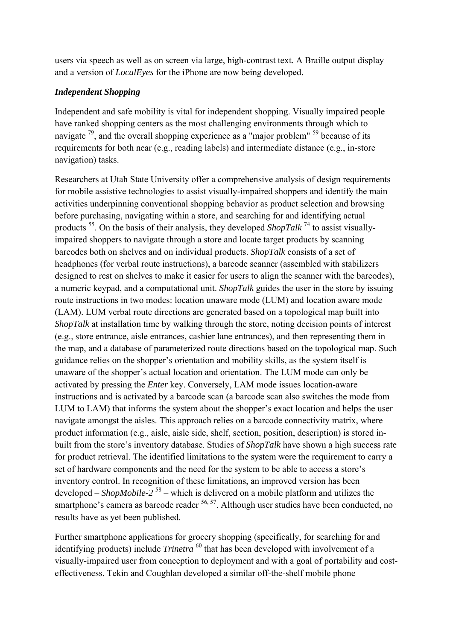users via speech as well as on screen via large, high-contrast text. A Braille output display and a version of *LocalEyes* for the iPhone are now being developed.

## *Independent Shopping*

Independent and safe mobility is vital for independent shopping. Visually impaired people have ranked shopping centers as the most challenging environments through which to navigate  $^{79}$ , and the overall shopping experience as a "major problem"  $^{59}$  because of its requirements for both near (e.g., reading labels) and intermediate distance (e.g., in-store navigation) tasks.

Researchers at Utah State University offer a comprehensive analysis of design requirements for mobile assistive technologies to assist visually-impaired shoppers and identify the main activities underpinning conventional shopping behavior as product selection and browsing before purchasing, navigating within a store, and searching for and identifying actual products 55. On the basis of their analysis, they developed *ShopTalk* 74 to assist visuallyimpaired shoppers to navigate through a store and locate target products by scanning barcodes both on shelves and on individual products. *ShopTalk* consists of a set of headphones (for verbal route instructions), a barcode scanner (assembled with stabilizers designed to rest on shelves to make it easier for users to align the scanner with the barcodes), a numeric keypad, and a computational unit. *ShopTalk* guides the user in the store by issuing route instructions in two modes: location unaware mode (LUM) and location aware mode (LAM). LUM verbal route directions are generated based on a topological map built into *ShopTalk* at installation time by walking through the store, noting decision points of interest (e.g., store entrance, aisle entrances, cashier lane entrances), and then representing them in the map, and a database of parameterized route directions based on the topological map. Such guidance relies on the shopper's orientation and mobility skills, as the system itself is unaware of the shopper's actual location and orientation. The LUM mode can only be activated by pressing the *Enter* key. Conversely, LAM mode issues location-aware instructions and is activated by a barcode scan (a barcode scan also switches the mode from LUM to LAM) that informs the system about the shopper's exact location and helps the user navigate amongst the aisles. This approach relies on a barcode connectivity matrix, where product information (e.g., aisle, aisle side, shelf, section, position, description) is stored inbuilt from the store's inventory database. Studies of *ShopTalk* have shown a high success rate for product retrieval. The identified limitations to the system were the requirement to carry a set of hardware components and the need for the system to be able to access a store's inventory control. In recognition of these limitations, an improved version has been developed – *ShopMobile-2* 58 – which is delivered on a mobile platform and utilizes the smartphone's camera as barcode reader <sup>56, 57</sup>. Although user studies have been conducted, no results have as yet been published.

Further smartphone applications for grocery shopping (specifically, for searching for and identifying products) include *Trinetra* <sup>60</sup> that has been developed with involvement of a visually-impaired user from conception to deployment and with a goal of portability and costeffectiveness. Tekin and Coughlan developed a similar off-the-shelf mobile phone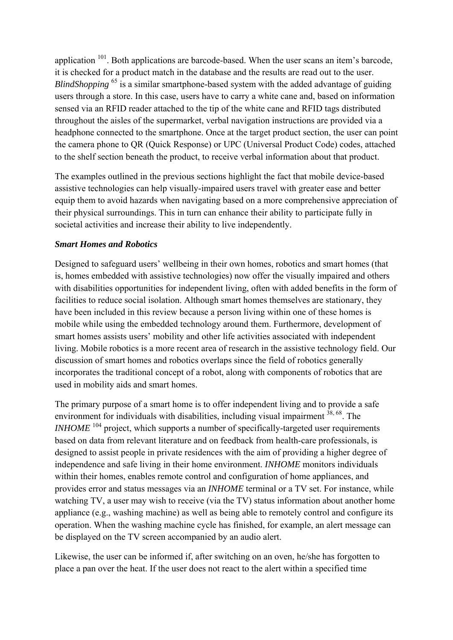application 101. Both applications are barcode-based. When the user scans an item's barcode, it is checked for a product match in the database and the results are read out to the user. *BlindShopping* <sup>65</sup> is a similar smartphone-based system with the added advantage of guiding users through a store. In this case, users have to carry a white cane and, based on information sensed via an RFID reader attached to the tip of the white cane and RFID tags distributed throughout the aisles of the supermarket, verbal navigation instructions are provided via a headphone connected to the smartphone. Once at the target product section, the user can point the camera phone to QR (Quick Response) or UPC (Universal Product Code) codes, attached to the shelf section beneath the product, to receive verbal information about that product.

The examples outlined in the previous sections highlight the fact that mobile device-based assistive technologies can help visually-impaired users travel with greater ease and better equip them to avoid hazards when navigating based on a more comprehensive appreciation of their physical surroundings. This in turn can enhance their ability to participate fully in societal activities and increase their ability to live independently.

#### *Smart Homes and Robotics*

Designed to safeguard users' wellbeing in their own homes, robotics and smart homes (that is, homes embedded with assistive technologies) now offer the visually impaired and others with disabilities opportunities for independent living, often with added benefits in the form of facilities to reduce social isolation. Although smart homes themselves are stationary, they have been included in this review because a person living within one of these homes is mobile while using the embedded technology around them. Furthermore, development of smart homes assists users' mobility and other life activities associated with independent living. Mobile robotics is a more recent area of research in the assistive technology field. Our discussion of smart homes and robotics overlaps since the field of robotics generally incorporates the traditional concept of a robot, along with components of robotics that are used in mobility aids and smart homes.

The primary purpose of a smart home is to offer independent living and to provide a safe environment for individuals with disabilities, including visual impairment  $38, 68$ . The *INHOME*<sup>104</sup> project, which supports a number of specifically-targeted user requirements based on data from relevant literature and on feedback from health-care professionals, is designed to assist people in private residences with the aim of providing a higher degree of independence and safe living in their home environment. *INHOME* monitors individuals within their homes, enables remote control and configuration of home appliances, and provides error and status messages via an *INHOME* terminal or a TV set. For instance, while watching TV, a user may wish to receive (via the TV) status information about another home appliance (e.g., washing machine) as well as being able to remotely control and configure its operation. When the washing machine cycle has finished, for example, an alert message can be displayed on the TV screen accompanied by an audio alert.

Likewise, the user can be informed if, after switching on an oven, he/she has forgotten to place a pan over the heat. If the user does not react to the alert within a specified time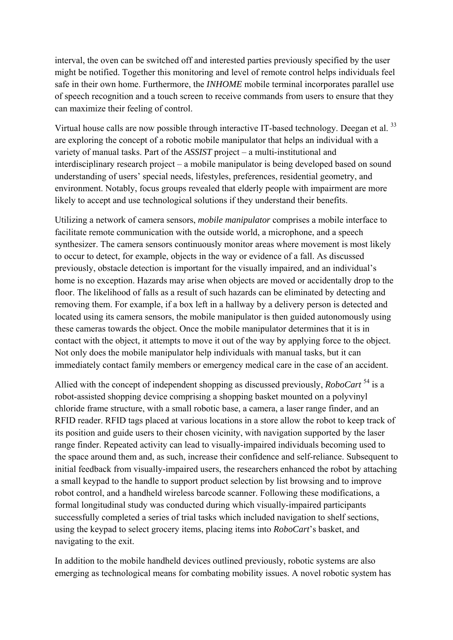interval, the oven can be switched off and interested parties previously specified by the user might be notified. Together this monitoring and level of remote control helps individuals feel safe in their own home. Furthermore, the *INHOME* mobile terminal incorporates parallel use of speech recognition and a touch screen to receive commands from users to ensure that they can maximize their feeling of control.

Virtual house calls are now possible through interactive IT-based technology. Deegan et al.<sup>33</sup> are exploring the concept of a robotic mobile manipulator that helps an individual with a variety of manual tasks. Part of the *ASSIST* project – a multi-institutional and interdisciplinary research project – a mobile manipulator is being developed based on sound understanding of users' special needs, lifestyles, preferences, residential geometry, and environment. Notably, focus groups revealed that elderly people with impairment are more likely to accept and use technological solutions if they understand their benefits.

Utilizing a network of camera sensors, *mobile manipulator* comprises a mobile interface to facilitate remote communication with the outside world, a microphone, and a speech synthesizer. The camera sensors continuously monitor areas where movement is most likely to occur to detect, for example, objects in the way or evidence of a fall. As discussed previously, obstacle detection is important for the visually impaired, and an individual's home is no exception. Hazards may arise when objects are moved or accidentally drop to the floor. The likelihood of falls as a result of such hazards can be eliminated by detecting and removing them. For example, if a box left in a hallway by a delivery person is detected and located using its camera sensors, the mobile manipulator is then guided autonomously using these cameras towards the object. Once the mobile manipulator determines that it is in contact with the object, it attempts to move it out of the way by applying force to the object. Not only does the mobile manipulator help individuals with manual tasks, but it can immediately contact family members or emergency medical care in the case of an accident.

Allied with the concept of independent shopping as discussed previously,  $RoboCart$ <sup>54</sup> is a robot-assisted shopping device comprising a shopping basket mounted on a polyvinyl chloride frame structure, with a small robotic base, a camera, a laser range finder, and an RFID reader. RFID tags placed at various locations in a store allow the robot to keep track of its position and guide users to their chosen vicinity, with navigation supported by the laser range finder. Repeated activity can lead to visually-impaired individuals becoming used to the space around them and, as such, increase their confidence and self-reliance. Subsequent to initial feedback from visually-impaired users, the researchers enhanced the robot by attaching a small keypad to the handle to support product selection by list browsing and to improve robot control, and a handheld wireless barcode scanner. Following these modifications, a formal longitudinal study was conducted during which visually-impaired participants successfully completed a series of trial tasks which included navigation to shelf sections, using the keypad to select grocery items, placing items into *RoboCart*'s basket, and navigating to the exit.

In addition to the mobile handheld devices outlined previously, robotic systems are also emerging as technological means for combating mobility issues. A novel robotic system has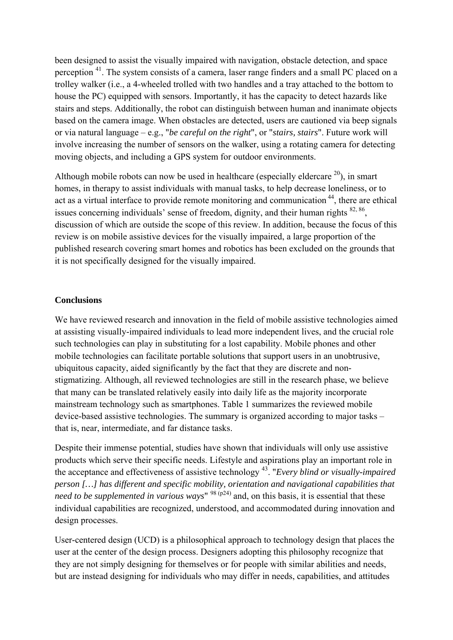been designed to assist the visually impaired with navigation, obstacle detection, and space perception <sup>41</sup>. The system consists of a camera, laser range finders and a small PC placed on a trolley walker (i.e., a 4-wheeled trolled with two handles and a tray attached to the bottom to house the PC) equipped with sensors. Importantly, it has the capacity to detect hazards like stairs and steps. Additionally, the robot can distinguish between human and inanimate objects based on the camera image. When obstacles are detected, users are cautioned via beep signals or via natural language – e.g., "*be careful on the right*", or "*stairs, stairs*". Future work will involve increasing the number of sensors on the walker, using a rotating camera for detecting moving objects, and including a GPS system for outdoor environments.

Although mobile robots can now be used in healthcare (especially eldercare  $^{20}$ ), in smart homes, in therapy to assist individuals with manual tasks, to help decrease loneliness, or to act as a virtual interface to provide remote monitoring and communication<sup>44</sup>, there are ethical issues concerning individuals' sense of freedom, dignity, and their human rights  $82, 86$ , discussion of which are outside the scope of this review. In addition, because the focus of this review is on mobile assistive devices for the visually impaired, a large proportion of the published research covering smart homes and robotics has been excluded on the grounds that it is not specifically designed for the visually impaired.

#### **Conclusions**

We have reviewed research and innovation in the field of mobile assistive technologies aimed at assisting visually-impaired individuals to lead more independent lives, and the crucial role such technologies can play in substituting for a lost capability. Mobile phones and other mobile technologies can facilitate portable solutions that support users in an unobtrusive, ubiquitous capacity, aided significantly by the fact that they are discrete and nonstigmatizing. Although, all reviewed technologies are still in the research phase, we believe that many can be translated relatively easily into daily life as the majority incorporate mainstream technology such as smartphones. Table 1 summarizes the reviewed mobile device-based assistive technologies. The summary is organized according to major tasks – that is, near, intermediate, and far distance tasks.

Despite their immense potential, studies have shown that individuals will only use assistive products which serve their specific needs. Lifestyle and aspirations play an important role in the acceptance and effectiveness of assistive technology 43. "*Every blind or visually-impaired person […] has different and specific mobility, orientation and navigational capabilities that need to be supplemented in various ways*<sup>" 98 (p24)</sup> and, on this basis, it is essential that these individual capabilities are recognized, understood, and accommodated during innovation and design processes.

User-centered design (UCD) is a philosophical approach to technology design that places the user at the center of the design process. Designers adopting this philosophy recognize that they are not simply designing for themselves or for people with similar abilities and needs, but are instead designing for individuals who may differ in needs, capabilities, and attitudes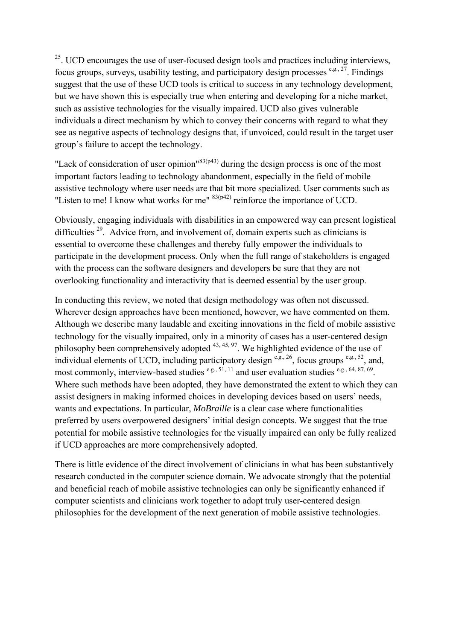$25$ . UCD encourages the use of user-focused design tools and practices including interviews, focus groups, surveys, usability testing, and participatory design processes  $e.g., 27$ . Findings suggest that the use of these UCD tools is critical to success in any technology development, but we have shown this is especially true when entering and developing for a niche market, such as assistive technologies for the visually impaired. UCD also gives vulnerable individuals a direct mechanism by which to convey their concerns with regard to what they see as negative aspects of technology designs that, if unvoiced, could result in the target user group's failure to accept the technology.

"Lack of consideration of user opinion"<sup>83(p43)</sup> during the design process is one of the most important factors leading to technology abandonment, especially in the field of mobile assistive technology where user needs are that bit more specialized. User comments such as "Listen to me! I know what works for me"  $83(p42)$  reinforce the importance of UCD.

Obviously, engaging individuals with disabilities in an empowered way can present logistical difficulties <sup>29</sup>. Advice from, and involvement of, domain experts such as clinicians is essential to overcome these challenges and thereby fully empower the individuals to participate in the development process. Only when the full range of stakeholders is engaged with the process can the software designers and developers be sure that they are not overlooking functionality and interactivity that is deemed essential by the user group.

In conducting this review, we noted that design methodology was often not discussed. Wherever design approaches have been mentioned, however, we have commented on them. Although we describe many laudable and exciting innovations in the field of mobile assistive technology for the visually impaired, only in a minority of cases has a user-centered design philosophy been comprehensively adopted 43, 45, 97. We highlighted evidence of the use of individual elements of UCD, including participatory design  $e.g., 26$ , focus groups  $e.g., 52$ , and, most commonly, interview-based studies  $e.g., 51, 11$  and user evaluation studies  $e.g., 64, 87, 69$ . Where such methods have been adopted, they have demonstrated the extent to which they can assist designers in making informed choices in developing devices based on users' needs, wants and expectations. In particular, *MoBraille* is a clear case where functionalities preferred by users overpowered designers' initial design concepts. We suggest that the true potential for mobile assistive technologies for the visually impaired can only be fully realized if UCD approaches are more comprehensively adopted.

There is little evidence of the direct involvement of clinicians in what has been substantively research conducted in the computer science domain. We advocate strongly that the potential and beneficial reach of mobile assistive technologies can only be significantly enhanced if computer scientists and clinicians work together to adopt truly user-centered design philosophies for the development of the next generation of mobile assistive technologies.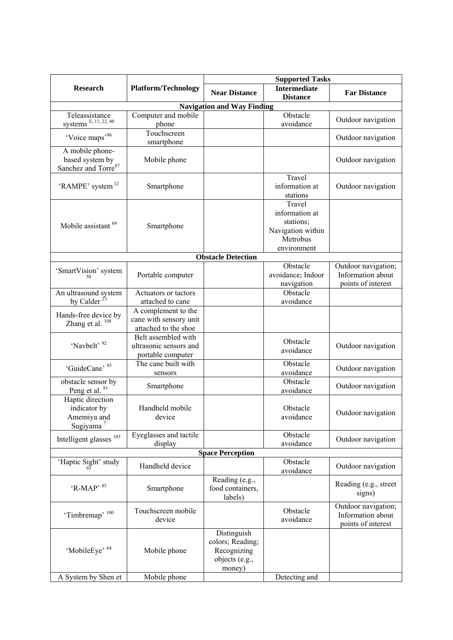|                                                                          |                                                                       | <b>Supported Tasks</b>                                                     |                                                                                       |                                                                |  |  |
|--------------------------------------------------------------------------|-----------------------------------------------------------------------|----------------------------------------------------------------------------|---------------------------------------------------------------------------------------|----------------------------------------------------------------|--|--|
| <b>Research</b>                                                          | <b>Platform/Technology</b>                                            | <b>Near Distance</b>                                                       | <b>Intermediate</b><br><b>Distance</b>                                                | <b>Far Distance</b>                                            |  |  |
| <b>Navigation and Way Finding</b>                                        |                                                                       |                                                                            |                                                                                       |                                                                |  |  |
| Teleassistance<br>systems E, 11, 22, 40                                  | Computer and mobile<br>phone                                          |                                                                            | Obstacle<br>avoidance                                                                 | Outdoor navigation                                             |  |  |
| 'Voice maps'96                                                           | Touchscreen<br>smartphone                                             |                                                                            |                                                                                       | Outdoor navigation                                             |  |  |
| A mobile phone-<br>based system by<br>Sanchez and Torre <sup>87</sup>    | Mobile phone                                                          |                                                                            |                                                                                       | Outdoor navigation                                             |  |  |
| 'RAMPE' system <sup>12</sup>                                             | Smartphone                                                            |                                                                            | Travel<br>information at<br>stations                                                  | Outdoor navigation                                             |  |  |
| Mobile assistant <sup>69</sup>                                           | Smartphone                                                            |                                                                            | Travel<br>information at<br>stations;<br>Navigation within<br>Metrobus<br>environment |                                                                |  |  |
| <b>Obstacle Detection</b>                                                |                                                                       |                                                                            |                                                                                       |                                                                |  |  |
| 'SmartVision' system                                                     | Portable computer                                                     |                                                                            | Obstacle<br>avoidance; Indoor<br>navigation                                           | Outdoor navigation;<br>Information about<br>points of interest |  |  |
| An ultrasound system<br>by Calder <sup><math>23</math></sup>             | Actuators or tactors<br>attached to cane                              |                                                                            | Obstacle<br>avoidance                                                                 |                                                                |  |  |
| Hands-free device by<br>Zhang et al. 108                                 | A complement to the<br>cane with sensory unit<br>attached to the shoe |                                                                            |                                                                                       |                                                                |  |  |
| 'Navbelt' 92                                                             | Belt assembled with<br>ultrasonic sensors and<br>portable computer    |                                                                            | Obstacle<br>avoidance                                                                 | Outdoor navigation                                             |  |  |
| 'GuideCane' 85                                                           | The cane built with<br>sensors                                        |                                                                            | Obstacle<br>avoidance                                                                 | Outdoor navigation                                             |  |  |
| obstacle sensor by<br>Peng et al. 81                                     | Smartphone                                                            |                                                                            | Obstacle<br>avoidance                                                                 | Outdoor navigation                                             |  |  |
| Haptic direction<br>indicator by<br>Amemiya and<br>Sugiyama <sup>7</sup> | Handheld mobile<br>device                                             |                                                                            | Obstacle<br>avoidance                                                                 | Outdoor navigation                                             |  |  |
| Intelligent glasses $^{103}$                                             | Eyeglasses and tactile<br>display                                     |                                                                            | Obstacle<br>avoidance                                                                 | Outdoor navigation                                             |  |  |
| <b>Space Perception</b>                                                  |                                                                       |                                                                            |                                                                                       |                                                                |  |  |
| 'Haptic Sight' study                                                     | Handheld device                                                       |                                                                            | Obstacle<br>avoidance                                                                 | Outdoor navigation                                             |  |  |
| 'R-MAP' 85                                                               | Smartphone                                                            | Reading (e.g.,<br>food containers,<br>labels)                              |                                                                                       | Reading (e.g., street<br>signs)                                |  |  |
| 'Timbremap' 100                                                          | Touchscreen mobile<br>device                                          |                                                                            | Obstacle<br>avoidance                                                                 | Outdoor navigation;<br>Information about<br>points of interest |  |  |
| 'MobileEye' 64                                                           | Mobile phone                                                          | Distinguish<br>colors; Reading;<br>Recognizing<br>objects (e.g.,<br>money) |                                                                                       |                                                                |  |  |
| A System by Shen et                                                      | Mobile phone                                                          |                                                                            | Detecting and                                                                         |                                                                |  |  |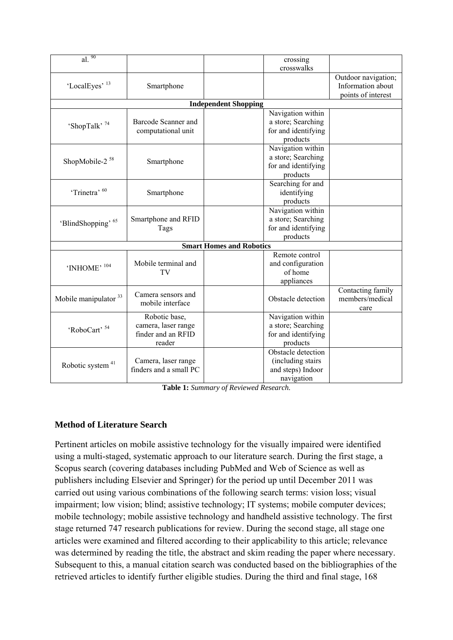| al. $90$                        |                                                  | crossing                    |                     |  |  |  |
|---------------------------------|--------------------------------------------------|-----------------------------|---------------------|--|--|--|
|                                 |                                                  | crosswalks                  |                     |  |  |  |
| 'LocalEyes' 13                  | Smartphone                                       |                             | Outdoor navigation; |  |  |  |
|                                 |                                                  |                             | Information about   |  |  |  |
|                                 |                                                  |                             | points of interest  |  |  |  |
|                                 |                                                  | <b>Independent Shopping</b> |                     |  |  |  |
| 'ShopTalk' <sup>74</sup>        | <b>Barcode Scanner and</b><br>computational unit | Navigation within           |                     |  |  |  |
|                                 |                                                  | a store; Searching          |                     |  |  |  |
|                                 |                                                  | for and identifying         |                     |  |  |  |
|                                 |                                                  | products                    |                     |  |  |  |
| ShopMobile-2 <sup>58</sup>      | Smartphone                                       | Navigation within           |                     |  |  |  |
|                                 |                                                  | a store; Searching          |                     |  |  |  |
|                                 |                                                  | for and identifying         |                     |  |  |  |
|                                 |                                                  | products                    |                     |  |  |  |
| 'Trinetra' 60                   | Smartphone                                       | Searching for and           |                     |  |  |  |
|                                 |                                                  | identifying                 |                     |  |  |  |
|                                 |                                                  | products                    |                     |  |  |  |
| 'BlindShopping' 65              | Smartphone and RFID<br>Tags                      | Navigation within           |                     |  |  |  |
|                                 |                                                  | a store; Searching          |                     |  |  |  |
|                                 |                                                  | for and identifying         |                     |  |  |  |
|                                 |                                                  | products                    |                     |  |  |  |
| <b>Smart Homes and Robotics</b> |                                                  |                             |                     |  |  |  |
| 'INHOME' 104                    | Mobile terminal and<br>TV                        | Remote control              |                     |  |  |  |
|                                 |                                                  | and configuration           |                     |  |  |  |
|                                 |                                                  | of home                     |                     |  |  |  |
|                                 |                                                  | appliances                  |                     |  |  |  |
| Mobile manipulator 33           | Camera sensors and<br>mobile interface           |                             | Contacting family   |  |  |  |
|                                 |                                                  | Obstacle detection          | members/medical     |  |  |  |
|                                 |                                                  |                             | care                |  |  |  |
| 'RoboCart' 54                   | Robotic base,                                    | Navigation within           |                     |  |  |  |
|                                 | camera, laser range                              | a store; Searching          |                     |  |  |  |
|                                 | finder and an RFID                               | for and identifying         |                     |  |  |  |
|                                 | reader                                           | products                    |                     |  |  |  |
| Robotic system <sup>41</sup>    |                                                  | Obstacle detection          |                     |  |  |  |
|                                 | Camera, laser range                              | (including stairs           |                     |  |  |  |
|                                 | finders and a small PC                           | and steps) Indoor           |                     |  |  |  |
|                                 |                                                  | navigation                  |                     |  |  |  |

**Table 1:** *Summary of Reviewed Research.*

#### **Method of Literature Search**

Pertinent articles on mobile assistive technology for the visually impaired were identified using a multi-staged, systematic approach to our literature search. During the first stage, a Scopus search (covering databases including PubMed and Web of Science as well as publishers including Elsevier and Springer) for the period up until December 2011 was carried out using various combinations of the following search terms: vision loss; visual impairment; low vision; blind; assistive technology; IT systems; mobile computer devices; mobile technology; mobile assistive technology and handheld assistive technology. The first stage returned 747 research publications for review. During the second stage, all stage one articles were examined and filtered according to their applicability to this article; relevance was determined by reading the title, the abstract and skim reading the paper where necessary. Subsequent to this, a manual citation search was conducted based on the bibliographies of the retrieved articles to identify further eligible studies. During the third and final stage, 168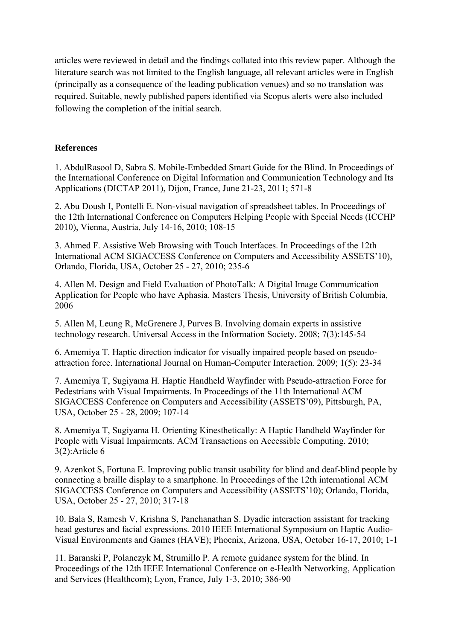articles were reviewed in detail and the findings collated into this review paper. Although the literature search was not limited to the English language, all relevant articles were in English (principally as a consequence of the leading publication venues) and so no translation was required. Suitable, newly published papers identified via Scopus alerts were also included following the completion of the initial search.

#### **References**

1. AbdulRasool D, Sabra S. Mobile-Embedded Smart Guide for the Blind. In Proceedings of the International Conference on Digital Information and Communication Technology and Its Applications (DICTAP 2011), Dijon, France, June 21-23, 2011; 571-8

2. Abu Doush I, Pontelli E. Non-visual navigation of spreadsheet tables. In Proceedings of the 12th International Conference on Computers Helping People with Special Needs (ICCHP 2010), Vienna, Austria, July 14-16, 2010; 108-15

3. Ahmed F. Assistive Web Browsing with Touch Interfaces. In Proceedings of the 12th International ACM SIGACCESS Conference on Computers and Accessibility ASSETS'10), Orlando, Florida, USA, October 25 - 27, 2010; 235-6

4. Allen M. Design and Field Evaluation of PhotoTalk: A Digital Image Communication Application for People who have Aphasia. Masters Thesis, University of British Columbia, 2006

5. Allen M, Leung R, McGrenere J, Purves B. Involving domain experts in assistive technology research. Universal Access in the Information Society. 2008; 7(3):145-54

6. Amemiya T. Haptic direction indicator for visually impaired people based on pseudoattraction force. International Journal on Human-Computer Interaction. 2009; 1(5): 23-34

7. Amemiya T, Sugiyama H. Haptic Handheld Wayfinder with Pseudo-attraction Force for Pedestrians with Visual Impairments. In Proceedings of the 11th International ACM SIGACCESS Conference on Computers and Accessibility (ASSETS'09), Pittsburgh, PA, USA, October 25 - 28, 2009; 107-14

8. Amemiya T, Sugiyama H. Orienting Kinesthetically: A Haptic Handheld Wayfinder for People with Visual Impairments. ACM Transactions on Accessible Computing. 2010; 3(2):Article 6

9. Azenkot S, Fortuna E. Improving public transit usability for blind and deaf-blind people by connecting a braille display to a smartphone. In Proceedings of the 12th international ACM SIGACCESS Conference on Computers and Accessibility (ASSETS'10); Orlando, Florida, USA, October 25 - 27, 2010; 317-18

10. Bala S, Ramesh V, Krishna S, Panchanathan S. Dyadic interaction assistant for tracking head gestures and facial expressions. 2010 IEEE International Symposium on Haptic Audio-Visual Environments and Games (HAVE); Phoenix, Arizona, USA, October 16-17, 2010; 1-1

11. Baranski P, Polanczyk M, Strumillo P. A remote guidance system for the blind. In Proceedings of the 12th IEEE International Conference on e-Health Networking, Application and Services (Healthcom); Lyon, France, July 1-3, 2010; 386-90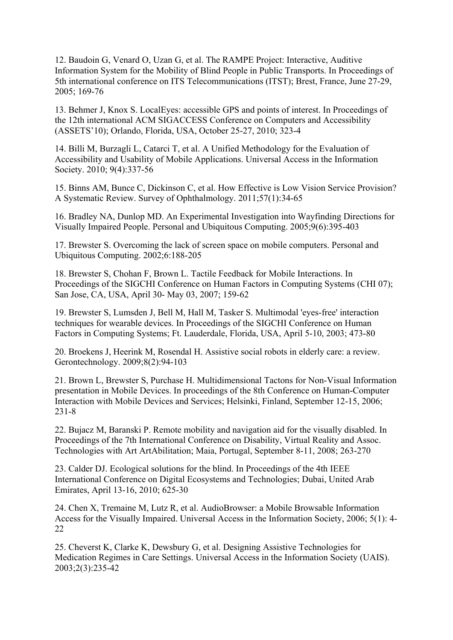12. Baudoin G, Venard O, Uzan G, et al. The RAMPE Project: Interactive, Auditive Information System for the Mobility of Blind People in Public Transports. In Proceedings of 5th international conference on ITS Telecommunications (ITST); Brest, France, June 27-29, 2005; 169-76

13. Behmer J, Knox S. LocalEyes: accessible GPS and points of interest. In Proceedings of the 12th international ACM SIGACCESS Conference on Computers and Accessibility (ASSETS'10); Orlando, Florida, USA, October 25-27, 2010; 323-4

14. Billi M, Burzagli L, Catarci T, et al. A Unified Methodology for the Evaluation of Accessibility and Usability of Mobile Applications. Universal Access in the Information Society. 2010; 9(4):337-56

15. Binns AM, Bunce C, Dickinson C, et al. How Effective is Low Vision Service Provision? A Systematic Review. Survey of Ophthalmology. 2011;57(1):34-65

16. Bradley NA, Dunlop MD. An Experimental Investigation into Wayfinding Directions for Visually Impaired People. Personal and Ubiquitous Computing. 2005;9(6):395-403

17. Brewster S. Overcoming the lack of screen space on mobile computers. Personal and Ubiquitous Computing. 2002;6:188-205

18. Brewster S, Chohan F, Brown L. Tactile Feedback for Mobile Interactions. In Proceedings of the SIGCHI Conference on Human Factors in Computing Systems (CHI 07); San Jose, CA, USA, April 30- May 03, 2007; 159-62

19. Brewster S, Lumsden J, Bell M, Hall M, Tasker S. Multimodal 'eyes-free' interaction techniques for wearable devices. In Proceedings of the SIGCHI Conference on Human Factors in Computing Systems; Ft. Lauderdale, Florida, USA, April 5-10, 2003; 473-80

20. Broekens J, Heerink M, Rosendal H. Assistive social robots in elderly care: a review. Gerontechnology. 2009;8(2):94-103

21. Brown L, Brewster S, Purchase H. Multidimensional Tactons for Non-Visual Information presentation in Mobile Devices. In proceedings of the 8th Conference on Human-Computer Interaction with Mobile Devices and Services; Helsinki, Finland, September 12-15, 2006; 231-8

22. Bujacz M, Baranski P. Remote mobility and navigation aid for the visually disabled. In Proceedings of the 7th International Conference on Disability, Virtual Reality and Assoc. Technologies with Art ArtAbilitation; Maia, Portugal, September 8-11, 2008; 263-270

23. Calder DJ. Ecological solutions for the blind. In Proceedings of the 4th IEEE International Conference on Digital Ecosystems and Technologies; Dubai, United Arab Emirates, April 13-16, 2010; 625-30

24. Chen X, Tremaine M, Lutz R, et al. AudioBrowser: a Mobile Browsable Information Access for the Visually Impaired. Universal Access in the Information Society, 2006; 5(1): 4- 22

25. Cheverst K, Clarke K, Dewsbury G, et al. Designing Assistive Technologies for Medication Regimes in Care Settings. Universal Access in the Information Society (UAIS). 2003;2(3):235-42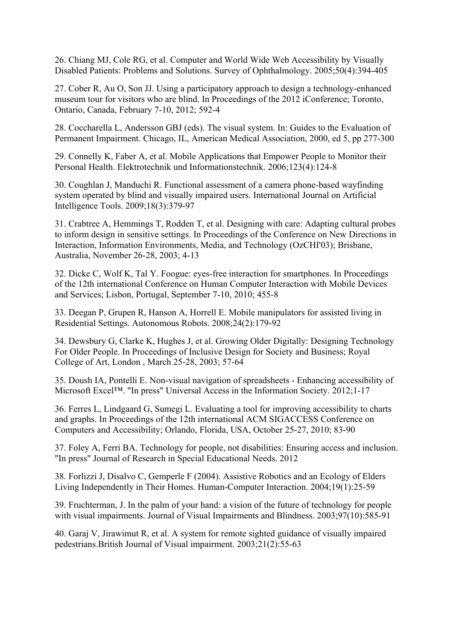26. Chiang MJ, Cole RG, et al. Computer and World Wide Web Accessibility by Visually Disabled Patients: Problems and Solutions. Survey of Ophthalmology. 2005;50(4):394-405

27. Cober R, Au O, Son JJ. Using a participatory approach to design a technology-enhanced museum tour for visitors who are blind. In Proceedings of the 2012 iConference; Toronto, Ontario, Canada, February 7-10, 2012; 592-4

28. Coccharella L, Andersson GBJ (eds). The visual system. In: Guides to the Evaluation of Permanent Impairment. Chicago, IL, American Medical Association, 2000, ed 5, pp 277-300

29. Connelly K, Faber A, et al. Mobile Applications that Empower People to Monitor their Personal Health. Elektrotechnik und Informationstechnik. 2006;123(4):124-8

30. Coughlan J, Manduchi R. Functional assessment of a camera phone-based wayfinding system operated by blind and visually impaired users. International Journal on Artificial Intelligence Tools. 2009;18(3):379-97

31. Crabtree A, Hemmings T, Rodden T, et al. Designing with care: Adapting cultural probes to inform design in sensitive settings. In Proceedings of the Conference on New Directions in Interaction, Information Environments, Media, and Technology (OzCHI'03); Brisbane, Australia, November 26-28, 2003; 4-13

32. Dicke C, Wolf K, Tal Y. Foogue: eyes-free interaction for smartphones. In Proceedings of the 12th international Conference on Human Computer Interaction with Mobile Devices and Services; Lisbon, Portugal, September 7-10, 2010; 455-8

33. Deegan P, Grupen R, Hanson A, Horrell E. Mobile manipulators for assisted living in Residential Settings. Autonomous Robots. 2008;24(2):179-92

34. Dewsbury G, Clarke K, Hughes J, et al. Growing Older Digitally: Designing Technology For Older People. In Proceedings of Inclusive Design for Society and Business; Royal College of Art, London , March 25-28, 2003; 57-64

35. Doush IA, Pontelli E. Non-visual navigation of spreadsheets - Enhancing accessibility of Microsoft Excel™. "In press" Universal Access in the Information Society. 2012;1-17

36. Ferres L, Lindgaard G, Sumegi L. Evaluating a tool for improving accessibility to charts and graphs. In Proceedings of the 12th international ACM SIGACCESS Conference on Computers and Accessibility; Orlando, Florida, USA, October 25-27, 2010; 83-90

37. Foley A, Ferri BA. Technology for people, not disabilities: Ensuring access and inclusion. "In press" Journal of Research in Special Educational Needs. 2012

38. Forlizzi J, Disalvo C, Gemperle F (2004). Assistive Robotics and an Ecology of Elders Living Independently in Their Homes. Human-Computer Interaction. 2004;19(1):25-59

39. Fruchterman, J. In the palm of your hand: a vision of the future of technology for people with visual impairments. Journal of Visual Impairments and Blindness. 2003;97(10):585-91

40. Garaj V, Jirawimut R, et al. A system for remote sighted guidance of visually impaired pedestrians.British Journal of Visual impairment. 2003;21(2):55-63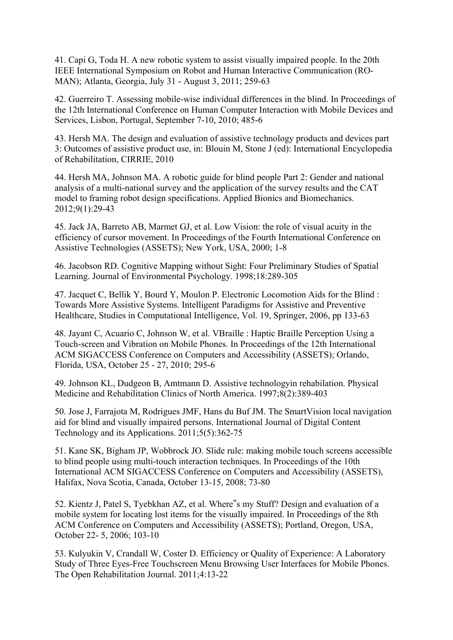41. Capi G, Toda H. A new robotic system to assist visually impaired people. In the 20th IEEE International Symposium on Robot and Human Interactive Communication (RO-MAN); Atlanta, Georgia, July 31 - August 3, 2011; 259-63

42. Guerreiro T. Assessing mobile-wise individual differences in the blind. In Proceedings of the 12th International Conference on Human Computer Interaction with Mobile Devices and Services, Lisbon, Portugal, September 7-10, 2010; 485-6

43. Hersh MA. The design and evaluation of assistive technology products and devices part 3: Outcomes of assistive product use, in: Blouin M, Stone J (ed): International Encyclopedia of Rehabilitation, CIRRIE, 2010

44. Hersh MA, Johnson MA. A robotic guide for blind people Part 2: Gender and national analysis of a multi-national survey and the application of the survey results and the CAT model to framing robot design specifications. Applied Bionics and Biomechanics. 2012;9(1):29-43

45. Jack JA, Barreto AB, Marmet GJ, et al. Low Vision: the role of visual acuity in the efficiency of cursor movement. In Proceedings of the Fourth International Conference on Assistive Technologies (ASSETS); New York, USA, 2000; 1-8

46. Jacobson RD. Cognitive Mapping without Sight: Four Preliminary Studies of Spatial Learning. Journal of Environmental Psychology. 1998;18:289-305

47. Jacquet C, Bellik Y, Bourd Y, Moulon P. Electronic Locomotion Aids for the Blind : Towards More Assistive Systems. Intelligent Paradigms for Assistive and Preventive Healthcare, Studies in Computational Intelligence, Vol. 19, Springer, 2006, pp 133-63

48. Jayant C, Acuario C, Johnson W, et al. VBraille : Haptic Braille Perception Using a Touch-screen and Vibration on Mobile Phones. In Proceedings of the 12th International ACM SIGACCESS Conference on Computers and Accessibility (ASSETS); Orlando, Florida, USA, October 25 - 27, 2010; 295-6

49. Johnson KL, Dudgeon B, Amtmann D. Assistive technologyin rehabilation. Physical Medicine and Rehabilitation Clinics of North America. 1997;8(2):389-403

50. Jose J, Farrajota M, Rodrigues JMF, Hans du Buf JM. The SmartVision local navigation aid for blind and visually impaired persons. International Journal of Digital Content Technology and its Applications. 2011;5(5):362-75

51. Kane SK, Bigham JP, Wobbrock JO. Slide rule: making mobile touch screens accessible to blind people using multi-touch interaction techniques. In Proceedings of the 10th International ACM SIGACCESS Conference on Computers and Accessibility (ASSETS), Halifax, Nova Scotia, Canada, October 13-15, 2008; 73-80

52. Kientz J, Patel S, Tyebkhan AZ, et al. Where"s my Stuff? Design and evaluation of a mobile system for locating lost items for the visually impaired. In Proceedings of the 8th ACM Conference on Computers and Accessibility (ASSETS); Portland, Oregon, USA, October 22- 5, 2006; 103-10

53. Kulyukin V, Crandall W, Coster D. Efficiency or Quality of Experience: A Laboratory Study of Three Eyes-Free Touchscreen Menu Browsing User Interfaces for Mobile Phones. The Open Rehabilitation Journal. 2011;4:13-22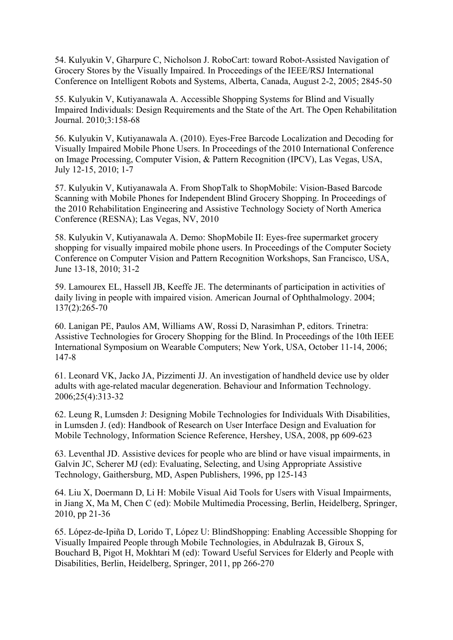54. Kulyukin V, Gharpure C, Nicholson J. RoboCart: toward Robot-Assisted Navigation of Grocery Stores by the Visually Impaired. In Proceedings of the IEEE/RSJ International Conference on Intelligent Robots and Systems, Alberta, Canada, August 2-2, 2005; 2845-50

55. Kulyukin V, Kutiyanawala A. Accessible Shopping Systems for Blind and Visually Impaired Individuals: Design Requirements and the State of the Art. The Open Rehabilitation Journal. 2010;3:158-68

56. Kulyukin V, Kutiyanawala A. (2010). Eyes-Free Barcode Localization and Decoding for Visually Impaired Mobile Phone Users. In Proceedings of the 2010 International Conference on Image Processing, Computer Vision, & Pattern Recognition (IPCV), Las Vegas, USA, July 12-15, 2010; 1-7

57. Kulyukin V, Kutiyanawala A. From ShopTalk to ShopMobile: Vision-Based Barcode Scanning with Mobile Phones for Independent Blind Grocery Shopping. In Proceedings of the 2010 Rehabilitation Engineering and Assistive Technology Society of North America Conference (RESNA); Las Vegas, NV, 2010

58. Kulyukin V, Kutiyanawala A. Demo: ShopMobile II: Eyes-free supermarket grocery shopping for visually impaired mobile phone users. In Proceedings of the Computer Society Conference on Computer Vision and Pattern Recognition Workshops, San Francisco, USA, June 13-18, 2010; 31-2

59. Lamourex EL, Hassell JB, Keeffe JE. The determinants of participation in activities of daily living in people with impaired vision. American Journal of Ophthalmology. 2004; 137(2):265-70

60. Lanigan PE, Paulos AM, Williams AW, Rossi D, Narasimhan P, editors. Trinetra: Assistive Technologies for Grocery Shopping for the Blind. In Proceedings of the 10th IEEE International Symposium on Wearable Computers; New York, USA, October 11-14, 2006; 147-8

61. Leonard VK, Jacko JA, Pizzimenti JJ. An investigation of handheld device use by older adults with age-related macular degeneration. Behaviour and Information Technology. 2006;25(4):313-32

62. Leung R, Lumsden J: Designing Mobile Technologies for Individuals With Disabilities, in Lumsden J. (ed): Handbook of Research on User Interface Design and Evaluation for Mobile Technology, Information Science Reference, Hershey, USA, 2008, pp 609-623

63. Leventhal JD. Assistive devices for people who are blind or have visual impairments, in Galvin JC, Scherer MJ (ed): Evaluating, Selecting, and Using Appropriate Assistive Technology, Gaithersburg, MD, Aspen Publishers, 1996, pp 125-143

64. Liu X, Doermann D, Li H: Mobile Visual Aid Tools for Users with Visual Impairments, in Jiang X, Ma M, Chen C (ed): Mobile Multimedia Processing, Berlin, Heidelberg, Springer, 2010, pp 21-36

65. López-de-Ipiña D, Lorido T, López U: BlindShopping: Enabling Accessible Shopping for Visually Impaired People through Mobile Technologies, in Abdulrazak B, Giroux S, Bouchard B, Pigot H, Mokhtari M (ed): Toward Useful Services for Elderly and People with Disabilities, Berlin, Heidelberg, Springer, 2011, pp 266-270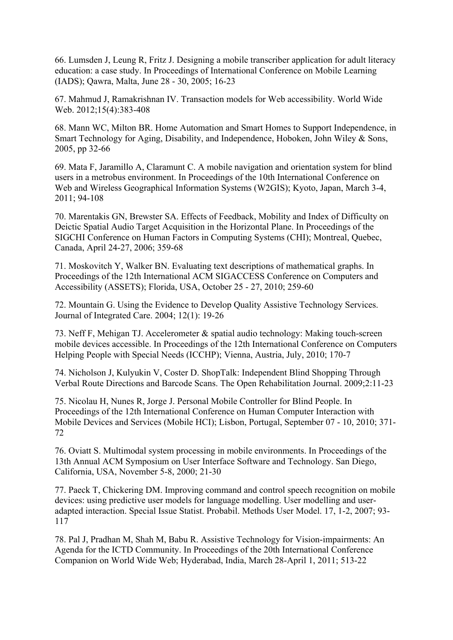66. Lumsden J, Leung R, Fritz J. Designing a mobile transcriber application for adult literacy education: a case study. In Proceedings of International Conference on Mobile Learning (IADS); Qawra, Malta, June 28 - 30, 2005; 16-23

67. Mahmud J, Ramakrishnan IV. Transaction models for Web accessibility. World Wide Web. 2012;15(4):383-408

68. Mann WC, Milton BR. Home Automation and Smart Homes to Support Independence, in Smart Technology for Aging, Disability, and Independence, Hoboken, John Wiley & Sons, 2005, pp 32-66

69. Mata F, Jaramillo A, Claramunt C. A mobile navigation and orientation system for blind users in a metrobus environment. In Proceedings of the 10th International Conference on Web and Wireless Geographical Information Systems (W2GIS); Kyoto, Japan, March 3-4, 2011; 94-108

70. Marentakis GN, Brewster SA. Effects of Feedback, Mobility and Index of Difficulty on Deictic Spatial Audio Target Acquisition in the Horizontal Plane. In Proceedings of the SIGCHI Conference on Human Factors in Computing Systems (CHI); Montreal, Quebec, Canada, April 24-27, 2006; 359-68

71. Moskovitch Y, Walker BN. Evaluating text descriptions of mathematical graphs. In Proceedings of the 12th International ACM SIGACCESS Conference on Computers and Accessibility (ASSETS); Florida, USA, October 25 - 27, 2010; 259-60

72. Mountain G. Using the Evidence to Develop Quality Assistive Technology Services. Journal of Integrated Care. 2004; 12(1): 19-26

73. Neff F, Mehigan TJ. Accelerometer & spatial audio technology: Making touch-screen mobile devices accessible. In Proceedings of the 12th International Conference on Computers Helping People with Special Needs (ICCHP); Vienna, Austria, July, 2010; 170-7

74. Nicholson J, Kulyukin V, Coster D. ShopTalk: Independent Blind Shopping Through Verbal Route Directions and Barcode Scans. The Open Rehabilitation Journal. 2009;2:11-23

75. Nicolau H, Nunes R, Jorge J. Personal Mobile Controller for Blind People. In Proceedings of the 12th International Conference on Human Computer Interaction with Mobile Devices and Services (Mobile HCI); Lisbon, Portugal, September 07 - 10, 2010; 371- 72

76. Oviatt S. Multimodal system processing in mobile environments. In Proceedings of the 13th Annual ACM Symposium on User Interface Software and Technology. San Diego, California, USA, November 5-8, 2000; 21-30

77. Paeck T, Chickering DM. Improving command and control speech recognition on mobile devices: using predictive user models for language modelling. User modelling and useradapted interaction. Special Issue Statist. Probabil. Methods User Model. 17, 1-2, 2007; 93- 117

78. Pal J, Pradhan M, Shah M, Babu R. Assistive Technology for Vision-impairments: An Agenda for the ICTD Community. In Proceedings of the 20th International Conference Companion on World Wide Web; Hyderabad, India, March 28-April 1, 2011; 513-22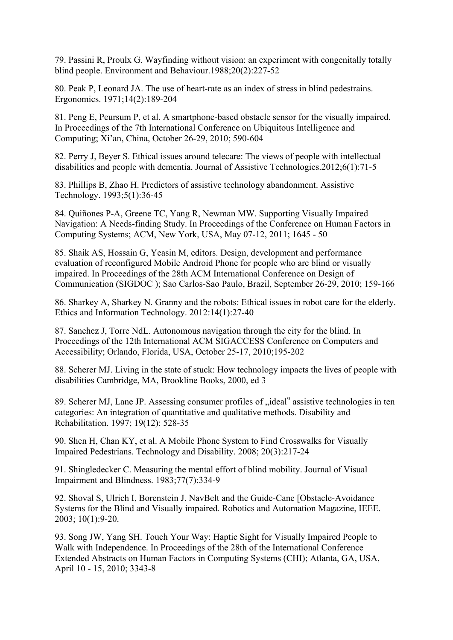79. Passini R, Proulx G. Wayfinding without vision: an experiment with congenitally totally blind people. Environment and Behaviour.1988;20(2):227-52

80. Peak P, Leonard JA. The use of heart-rate as an index of stress in blind pedestrains. Ergonomics. 1971;14(2):189-204

81. Peng E, Peursum P, et al. A smartphone-based obstacle sensor for the visually impaired. In Proceedings of the 7th International Conference on Ubiquitous Intelligence and Computing; Xi'an, China, October 26-29, 2010; 590-604

82. Perry J, Beyer S. Ethical issues around telecare: The views of people with intellectual disabilities and people with dementia. Journal of Assistive Technologies.2012;6(1):71-5

83. Phillips B, Zhao H. Predictors of assistive technology abandonment. Assistive Technology. 1993;5(1):36-45

84. Quiñones P-A, Greene TC, Yang R, Newman MW. Supporting Visually Impaired Navigation: A Needs-finding Study. In Proceedings of the Conference on Human Factors in Computing Systems; ACM, New York, USA, May 07-12, 2011; 1645 - 50

85. Shaik AS, Hossain G, Yeasin M, editors. Design, development and performance evaluation of reconfigured Mobile Android Phone for people who are blind or visually impaired. In Proceedings of the 28th ACM International Conference on Design of Communication (SIGDOC ); Sao Carlos-Sao Paulo, Brazil, September 26-29, 2010; 159-166

86. Sharkey A, Sharkey N. Granny and the robots: Ethical issues in robot care for the elderly. Ethics and Information Technology. 2012:14(1):27-40

87. Sanchez J, Torre NdL. Autonomous navigation through the city for the blind. In Proceedings of the 12th International ACM SIGACCESS Conference on Computers and Accessibility; Orlando, Florida, USA, October 25-17, 2010;195-202

88. Scherer MJ. Living in the state of stuck: How technology impacts the lives of people with disabilities Cambridge, MA, Brookline Books, 2000, ed 3

89. Scherer MJ, Lane JP. Assessing consumer profiles of "ideal" assistive technologies in ten categories: An integration of quantitative and qualitative methods. Disability and Rehabilitation. 1997; 19(12): 528-35

90. Shen H, Chan KY, et al. A Mobile Phone System to Find Crosswalks for Visually Impaired Pedestrians. Technology and Disability. 2008; 20(3):217-24

91. Shingledecker C. Measuring the mental effort of blind mobility. Journal of Visual Impairment and Blindness. 1983;77(7):334-9

92. Shoval S, Ulrich I, Borenstein J. NavBelt and the Guide-Cane [Obstacle-Avoidance Systems for the Blind and Visually impaired. Robotics and Automation Magazine, IEEE. 2003; 10(1):9-20.

93. Song JW, Yang SH. Touch Your Way: Haptic Sight for Visually Impaired People to Walk with Independence. In Proceedings of the 28th of the International Conference Extended Abstracts on Human Factors in Computing Systems (CHI); Atlanta, GA, USA, April 10 - 15, 2010; 3343-8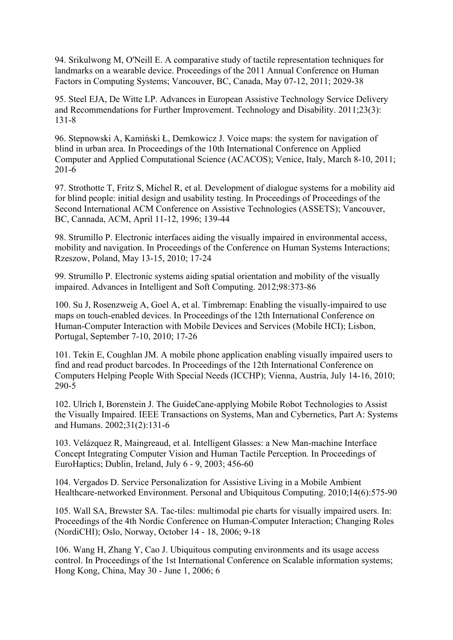94. Srikulwong M, O'Neill E. A comparative study of tactile representation techniques for landmarks on a wearable device. Proceedings of the 2011 Annual Conference on Human Factors in Computing Systems; Vancouver, BC, Canada, May 07-12, 2011; 2029-38

95. Steel EJA, De Witte LP. Advances in European Assistive Technology Service Delivery and Recommendations for Further Improvement. Technology and Disability. 2011;23(3): 131-8

96. Stepnowski A, Kamiński Ł, Demkowicz J. Voice maps: the system for navigation of blind in urban area. In Proceedings of the 10th International Conference on Applied Computer and Applied Computational Science (ACACOS); Venice, Italy, March 8-10, 2011; 201-6

97. Strothotte T, Fritz S, Michel R, et al. Development of dialogue systems for a mobility aid for blind people: initial design and usability testing. In Proceedings of Proceedings of the Second International ACM Conference on Assistive Technologies (ASSETS); Vancouver, BC, Cannada, ACM, April 11-12, 1996; 139-44

98. Strumillo P. Electronic interfaces aiding the visually impaired in environmental access, mobility and navigation. In Proceedings of the Conference on Human Systems Interactions; Rzeszow, Poland, May 13-15, 2010; 17-24

99. Strumillo P. Electronic systems aiding spatial orientation and mobility of the visually impaired. Advances in Intelligent and Soft Computing. 2012;98:373-86

100. Su J, Rosenzweig A, Goel A, et al. Timbremap: Enabling the visually-impaired to use maps on touch-enabled devices. In Proceedings of the 12th International Conference on Human-Computer Interaction with Mobile Devices and Services (Mobile HCI); Lisbon, Portugal, September 7-10, 2010; 17-26

101. Tekin E, Coughlan JM. A mobile phone application enabling visually impaired users to find and read product barcodes. In Proceedings of the 12th International Conference on Computers Helping People With Special Needs (ICCHP); Vienna, Austria, July 14-16, 2010; 290-5

102. Ulrich I, Borenstein J. The GuideCane-applying Mobile Robot Technologies to Assist the Visually Impaired. IEEE Transactions on Systems, Man and Cybernetics, Part A: Systems and Humans. 2002;31(2):131-6

103. Velázquez R, Maingreaud, et al. Intelligent Glasses: a New Man-machine Interface Concept Integrating Computer Vision and Human Tactile Perception. In Proceedings of EuroHaptics; Dublin, Ireland, July 6 - 9, 2003; 456-60

104. Vergados D. Service Personalization for Assistive Living in a Mobile Ambient Healthcare-networked Environment. Personal and Ubiquitous Computing. 2010;14(6):575-90

105. Wall SA, Brewster SA. Tac-tiles: multimodal pie charts for visually impaired users. In: Proceedings of the 4th Nordic Conference on Human-Computer Interaction; Changing Roles (NordiCHI); Oslo, Norway, October 14 - 18, 2006; 9-18

106. Wang H, Zhang Y, Cao J. Ubiquitous computing environments and its usage access control. In Proceedings of the 1st International Conference on Scalable information systems; Hong Kong, China, May 30 - June 1, 2006; 6